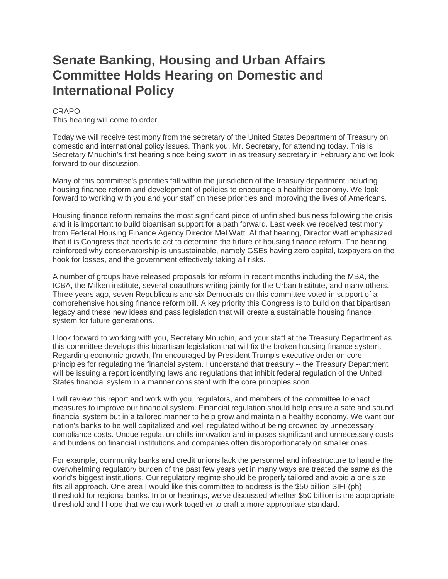# **Senate Banking, Housing and Urban Affairs Committee Holds Hearing on Domestic and International Policy**

## CRAPO:

This hearing will come to order.

Today we will receive testimony from the secretary of the United States Department of Treasury on domestic and international policy issues. Thank you, Mr. Secretary, for attending today. This is Secretary Mnuchin's first hearing since being sworn in as treasury secretary in February and we look forward to our discussion.

Many of this committee's priorities fall within the jurisdiction of the treasury department including housing finance reform and development of policies to encourage a healthier economy. We look forward to working with you and your staff on these priorities and improving the lives of Americans.

Housing finance reform remains the most significant piece of unfinished business following the crisis and it is important to build bipartisan support for a path forward. Last week we received testimony from Federal Housing Finance Agency Director Mel Watt. At that hearing, Director Watt emphasized that it is Congress that needs to act to determine the future of housing finance reform. The hearing reinforced why conservatorship is unsustainable, namely GSEs having zero capital, taxpayers on the hook for losses, and the government effectively taking all risks.

A number of groups have released proposals for reform in recent months including the MBA, the ICBA, the Milken institute, several coauthors writing jointly for the Urban Institute, and many others. Three years ago, seven Republicans and six Democrats on this committee voted in support of a comprehensive housing finance reform bill. A key priority this Congress is to build on that bipartisan legacy and these new ideas and pass legislation that will create a sustainable housing finance system for future generations.

I look forward to working with you, Secretary Mnuchin, and your staff at the Treasury Department as this committee develops this bipartisan legislation that will fix the broken housing finance system. Regarding economic growth, I'm encouraged by President Trump's executive order on core principles for regulating the financial system. I understand that treasury -- the Treasury Department will be issuing a report identifying laws and regulations that inhibit federal regulation of the United States financial system in a manner consistent with the core principles soon.

I will review this report and work with you, regulators, and members of the committee to enact measures to improve our financial system. Financial regulation should help ensure a safe and sound financial system but in a tailored manner to help grow and maintain a healthy economy. We want our nation's banks to be well capitalized and well regulated without being drowned by unnecessary compliance costs. Undue regulation chills innovation and imposes significant and unnecessary costs and burdens on financial institutions and companies often disproportionately on smaller ones.

For example, community banks and credit unions lack the personnel and infrastructure to handle the overwhelming regulatory burden of the past few years yet in many ways are treated the same as the world's biggest institutions. Our regulatory regime should be properly tailored and avoid a one size fits all approach. One area I would like this committee to address is the \$50 billion SIFI (ph) threshold for regional banks. In prior hearings, we've discussed whether \$50 billion is the appropriate threshold and I hope that we can work together to craft a more appropriate standard.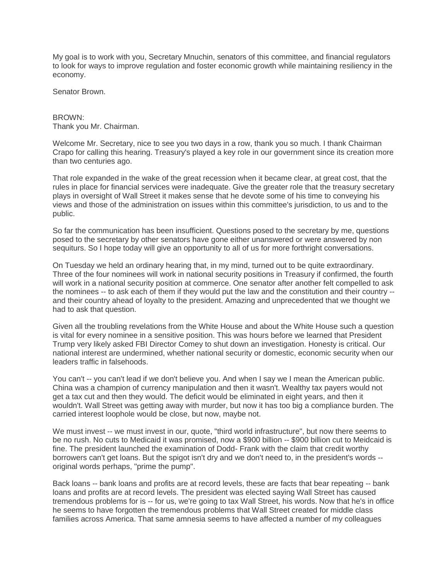My goal is to work with you, Secretary Mnuchin, senators of this committee, and financial regulators to look for ways to improve regulation and foster economic growth while maintaining resiliency in the economy.

Senator Brown.

BROWN: Thank you Mr. Chairman.

Welcome Mr. Secretary, nice to see you two days in a row, thank you so much. I thank Chairman Crapo for calling this hearing. Treasury's played a key role in our government since its creation more than two centuries ago.

That role expanded in the wake of the great recession when it became clear, at great cost, that the rules in place for financial services were inadequate. Give the greater role that the treasury secretary plays in oversight of Wall Street it makes sense that he devote some of his time to conveying his views and those of the administration on issues within this committee's jurisdiction, to us and to the public.

So far the communication has been insufficient. Questions posed to the secretary by me, questions posed to the secretary by other senators have gone either unanswered or were answered by non sequiturs. So I hope today will give an opportunity to all of us for more forthright conversations.

On Tuesday we held an ordinary hearing that, in my mind, turned out to be quite extraordinary. Three of the four nominees will work in national security positions in Treasury if confirmed, the fourth will work in a national security position at commerce. One senator after another felt compelled to ask the nominees -- to ask each of them if they would put the law and the constitution and their country - and their country ahead of loyalty to the president. Amazing and unprecedented that we thought we had to ask that question.

Given all the troubling revelations from the White House and about the White House such a question is vital for every nominee in a sensitive position. This was hours before we learned that President Trump very likely asked FBI Director Comey to shut down an investigation. Honesty is critical. Our national interest are undermined, whether national security or domestic, economic security when our leaders traffic in falsehoods.

You can't -- you can't lead if we don't believe you. And when I say we I mean the American public. China was a champion of currency manipulation and then it wasn't. Wealthy tax payers would not get a tax cut and then they would. The deficit would be eliminated in eight years, and then it wouldn't. Wall Street was getting away with murder, but now it has too big a compliance burden. The carried interest loophole would be close, but now, maybe not.

We must invest -- we must invest in our, quote, "third world infrastructure", but now there seems to be no rush. No cuts to Medicaid it was promised, now a \$900 billion -- \$900 billion cut to Meidcaid is fine. The president launched the examination of Dodd- Frank with the claim that credit worthy borrowers can't get loans. But the spigot isn't dry and we don't need to, in the president's words - original words perhaps, "prime the pump".

Back loans -- bank loans and profits are at record levels, these are facts that bear repeating -- bank loans and profits are at record levels. The president was elected saying Wall Street has caused tremendous problems for is -- for us, we're going to tax Wall Street, his words. Now that he's in office he seems to have forgotten the tremendous problems that Wall Street created for middle class families across America. That same amnesia seems to have affected a number of my colleagues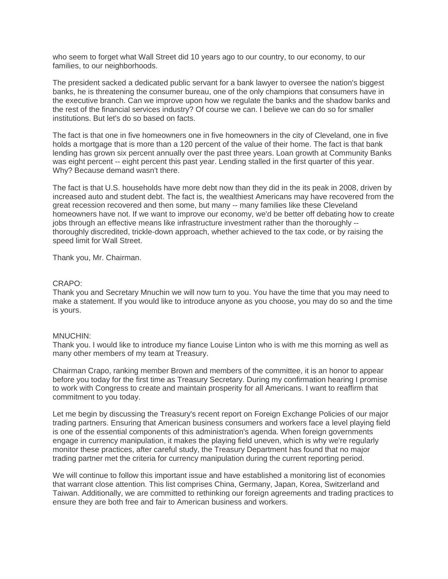who seem to forget what Wall Street did 10 years ago to our country, to our economy, to our families, to our neighborhoods.

The president sacked a dedicated public servant for a bank lawyer to oversee the nation's biggest banks, he is threatening the consumer bureau, one of the only champions that consumers have in the executive branch. Can we improve upon how we regulate the banks and the shadow banks and the rest of the financial services industry? Of course we can. I believe we can do so for smaller institutions. But let's do so based on facts.

The fact is that one in five homeowners one in five homeowners in the city of Cleveland, one in five holds a mortgage that is more than a 120 percent of the value of their home. The fact is that bank lending has grown six percent annually over the past three years. Loan growth at Community Banks was eight percent -- eight percent this past year. Lending stalled in the first quarter of this year. Why? Because demand wasn't there.

The fact is that U.S. households have more debt now than they did in the its peak in 2008, driven by increased auto and student debt. The fact is, the wealthiest Americans may have recovered from the great recession recovered and then some, but many -- many families like these Cleveland homeowners have not. If we want to improve our economy, we'd be better off debating how to create jobs through an effective means like infrastructure investment rather than the thoroughly - thoroughly discredited, trickle-down approach, whether achieved to the tax code, or by raising the speed limit for Wall Street.

Thank you, Mr. Chairman.

## CRAPO:

Thank you and Secretary Mnuchin we will now turn to you. You have the time that you may need to make a statement. If you would like to introduce anyone as you choose, you may do so and the time is yours.

## MNUCHIN:

Thank you. I would like to introduce my fiance Louise Linton who is with me this morning as well as many other members of my team at Treasury.

Chairman Crapo, ranking member Brown and members of the committee, it is an honor to appear before you today for the first time as Treasury Secretary. During my confirmation hearing I promise to work with Congress to create and maintain prosperity for all Americans. I want to reaffirm that commitment to you today.

Let me begin by discussing the Treasury's recent report on Foreign Exchange Policies of our major trading partners. Ensuring that American business consumers and workers face a level playing field is one of the essential components of this administration's agenda. When foreign governments engage in currency manipulation, it makes the playing field uneven, which is why we're regularly monitor these practices, after careful study, the Treasury Department has found that no major trading partner met the criteria for currency manipulation during the current reporting period.

We will continue to follow this important issue and have established a monitoring list of economies that warrant close attention. This list comprises China, Germany, Japan, Korea, Switzerland and Taiwan. Additionally, we are committed to rethinking our foreign agreements and trading practices to ensure they are both free and fair to American business and workers.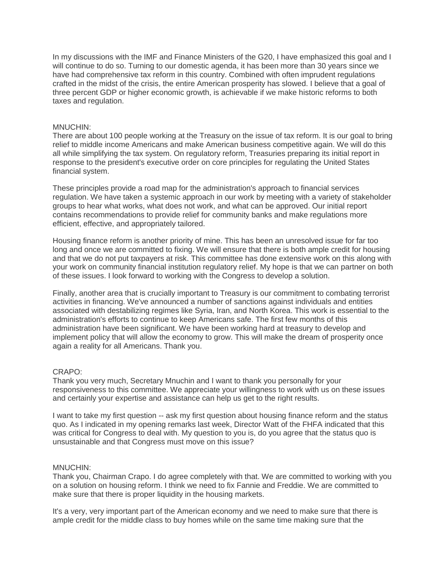In my discussions with the IMF and Finance Ministers of the G20, I have emphasized this goal and I will continue to do so. Turning to our domestic agenda, it has been more than 30 years since we have had comprehensive tax reform in this country. Combined with often imprudent regulations crafted in the midst of the crisis, the entire American prosperity has slowed. I believe that a goal of three percent GDP or higher economic growth, is achievable if we make historic reforms to both taxes and regulation.

## MNUCHIN:

There are about 100 people working at the Treasury on the issue of tax reform. It is our goal to bring relief to middle income Americans and make American business competitive again. We will do this all while simplifying the tax system. On regulatory reform, Treasuries preparing its initial report in response to the president's executive order on core principles for regulating the United States financial system.

These principles provide a road map for the administration's approach to financial services regulation. We have taken a systemic approach in our work by meeting with a variety of stakeholder groups to hear what works, what does not work, and what can be approved. Our initial report contains recommendations to provide relief for community banks and make regulations more efficient, effective, and appropriately tailored.

Housing finance reform is another priority of mine. This has been an unresolved issue for far too long and once we are committed to fixing. We will ensure that there is both ample credit for housing and that we do not put taxpayers at risk. This committee has done extensive work on this along with your work on community financial institution regulatory relief. My hope is that we can partner on both of these issues. I look forward to working with the Congress to develop a solution.

Finally, another area that is crucially important to Treasury is our commitment to combating terrorist activities in financing. We've announced a number of sanctions against individuals and entities associated with destabilizing regimes like Syria, Iran, and North Korea. This work is essential to the administration's efforts to continue to keep Americans safe. The first few months of this administration have been significant. We have been working hard at treasury to develop and implement policy that will allow the economy to grow. This will make the dream of prosperity once again a reality for all Americans. Thank you.

## CRAPO:

Thank you very much, Secretary Mnuchin and I want to thank you personally for your responsiveness to this committee. We appreciate your willingness to work with us on these issues and certainly your expertise and assistance can help us get to the right results.

I want to take my first question -- ask my first question about housing finance reform and the status quo. As I indicated in my opening remarks last week, Director Watt of the FHFA indicated that this was critical for Congress to deal with. My question to you is, do you agree that the status quo is unsustainable and that Congress must move on this issue?

## MNUCHIN:

Thank you, Chairman Crapo. I do agree completely with that. We are committed to working with you on a solution on housing reform. I think we need to fix Fannie and Freddie. We are committed to make sure that there is proper liquidity in the housing markets.

It's a very, very important part of the American economy and we need to make sure that there is ample credit for the middle class to buy homes while on the same time making sure that the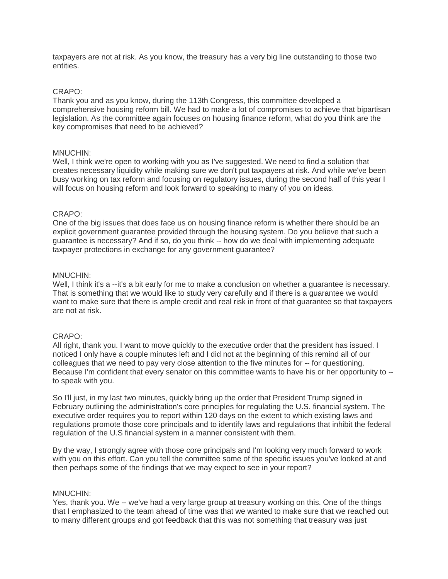taxpayers are not at risk. As you know, the treasury has a very big line outstanding to those two entities.

## CRAPO:

Thank you and as you know, during the 113th Congress, this committee developed a comprehensive housing reform bill. We had to make a lot of compromises to achieve that bipartisan legislation. As the committee again focuses on housing finance reform, what do you think are the key compromises that need to be achieved?

## MNUCHIN:

Well, I think we're open to working with you as I've suggested. We need to find a solution that creates necessary liquidity while making sure we don't put taxpayers at risk. And while we've been busy working on tax reform and focusing on regulatory issues, during the second half of this year I will focus on housing reform and look forward to speaking to many of you on ideas.

## CRAPO:

One of the big issues that does face us on housing finance reform is whether there should be an explicit government guarantee provided through the housing system. Do you believe that such a guarantee is necessary? And if so, do you think -- how do we deal with implementing adequate taxpayer protections in exchange for any government guarantee?

## MNUCHIN:

Well, I think it's a --it's a bit early for me to make a conclusion on whether a quarantee is necessary. That is something that we would like to study very carefully and if there is a guarantee we would want to make sure that there is ample credit and real risk in front of that guarantee so that taxpayers are not at risk.

## CRAPO:

All right, thank you. I want to move quickly to the executive order that the president has issued. I noticed I only have a couple minutes left and I did not at the beginning of this remind all of our colleagues that we need to pay very close attention to the five minutes for -- for questioning. Because I'm confident that every senator on this committee wants to have his or her opportunity to - to speak with you.

So I'll just, in my last two minutes, quickly bring up the order that President Trump signed in February outlining the administration's core principles for regulating the U.S. financial system. The executive order requires you to report within 120 days on the extent to which existing laws and regulations promote those core principals and to identify laws and regulations that inhibit the federal regulation of the U.S financial system in a manner consistent with them.

By the way, I strongly agree with those core principals and I'm looking very much forward to work with you on this effort. Can you tell the committee some of the specific issues you've looked at and then perhaps some of the findings that we may expect to see in your report?

## MNUCHIN:

Yes, thank you. We -- we've had a very large group at treasury working on this. One of the things that I emphasized to the team ahead of time was that we wanted to make sure that we reached out to many different groups and got feedback that this was not something that treasury was just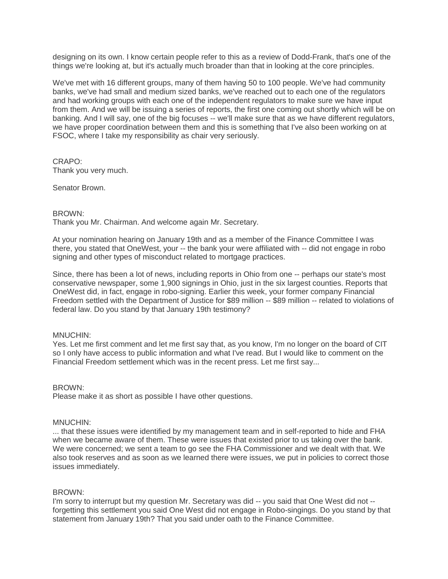designing on its own. I know certain people refer to this as a review of Dodd-Frank, that's one of the things we're looking at, but it's actually much broader than that in looking at the core principles.

We've met with 16 different groups, many of them having 50 to 100 people. We've had community banks, we've had small and medium sized banks, we've reached out to each one of the regulators and had working groups with each one of the independent regulators to make sure we have input from them. And we will be issuing a series of reports, the first one coming out shortly which will be on banking. And I will say, one of the big focuses -- we'll make sure that as we have different regulators, we have proper coordination between them and this is something that I've also been working on at FSOC, where I take my responsibility as chair very seriously.

CRAPO: Thank you very much.

Senator Brown.

## BROWN:

Thank you Mr. Chairman. And welcome again Mr. Secretary.

At your nomination hearing on January 19th and as a member of the Finance Committee I was there, you stated that OneWest, your -- the bank your were affiliated with -- did not engage in robo signing and other types of misconduct related to mortgage practices.

Since, there has been a lot of news, including reports in Ohio from one -- perhaps our state's most conservative newspaper, some 1,900 signings in Ohio, just in the six largest counties. Reports that OneWest did, in fact, engage in robo-signing. Earlier this week, your former company Financial Freedom settled with the Department of Justice for \$89 million -- \$89 million -- related to violations of federal law. Do you stand by that January 19th testimony?

## MNUCHIN:

Yes. Let me first comment and let me first say that, as you know, I'm no longer on the board of CIT so I only have access to public information and what I've read. But I would like to comment on the Financial Freedom settlement which was in the recent press. Let me first say...

## BROWN:

Please make it as short as possible I have other questions.

## MNUCHIN:

... that these issues were identified by my management team and in self-reported to hide and FHA when we became aware of them. These were issues that existed prior to us taking over the bank. We were concerned; we sent a team to go see the FHA Commissioner and we dealt with that. We also took reserves and as soon as we learned there were issues, we put in policies to correct those issues immediately.

## BROWN:

I'm sorry to interrupt but my question Mr. Secretary was did -- you said that One West did not - forgetting this settlement you said One West did not engage in Robo-singings. Do you stand by that statement from January 19th? That you said under oath to the Finance Committee.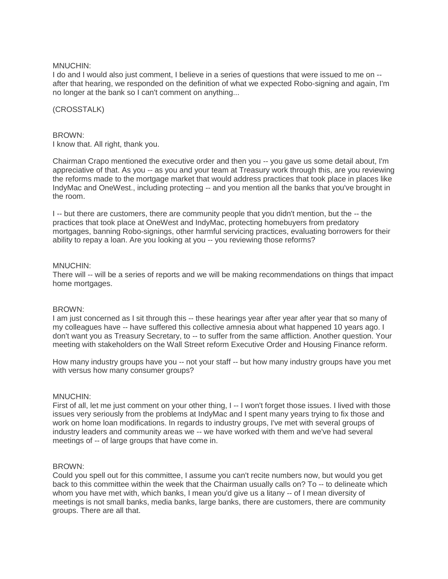## MNUCHIN:

I do and I would also just comment, I believe in a series of questions that were issued to me on - after that hearing, we responded on the definition of what we expected Robo-signing and again, I'm no longer at the bank so I can't comment on anything...

## (CROSSTALK)

## BROWN:

I know that. All right, thank you.

Chairman Crapo mentioned the executive order and then you -- you gave us some detail about, I'm appreciative of that. As you -- as you and your team at Treasury work through this, are you reviewing the reforms made to the mortgage market that would address practices that took place in places like IndyMac and OneWest., including protecting -- and you mention all the banks that you've brought in the room.

I -- but there are customers, there are community people that you didn't mention, but the -- the practices that took place at OneWest and IndyMac, protecting homebuyers from predatory mortgages, banning Robo-signings, other harmful servicing practices, evaluating borrowers for their ability to repay a loan. Are you looking at you -- you reviewing those reforms?

## MNUCHIN:

There will -- will be a series of reports and we will be making recommendations on things that impact home mortgages.

## BROWN:

I am just concerned as I sit through this -- these hearings year after year after year that so many of my colleagues have -- have suffered this collective amnesia about what happened 10 years ago. I don't want you as Treasury Secretary, to -- to suffer from the same affliction. Another question. Your meeting with stakeholders on the Wall Street reform Executive Order and Housing Finance reform.

How many industry groups have you -- not your staff -- but how many industry groups have you met with versus how many consumer groups?

## MNUCHIN:

First of all, let me just comment on your other thing, I -- I won't forget those issues. I lived with those issues very seriously from the problems at IndyMac and I spent many years trying to fix those and work on home loan modifications. In regards to industry groups, I've met with several groups of industry leaders and community areas we -- we have worked with them and we've had several meetings of -- of large groups that have come in.

## BROWN:

Could you spell out for this committee, I assume you can't recite numbers now, but would you get back to this committee within the week that the Chairman usually calls on? To -- to delineate which whom you have met with, which banks, I mean you'd give us a litany -- of I mean diversity of meetings is not small banks, media banks, large banks, there are customers, there are community groups. There are all that.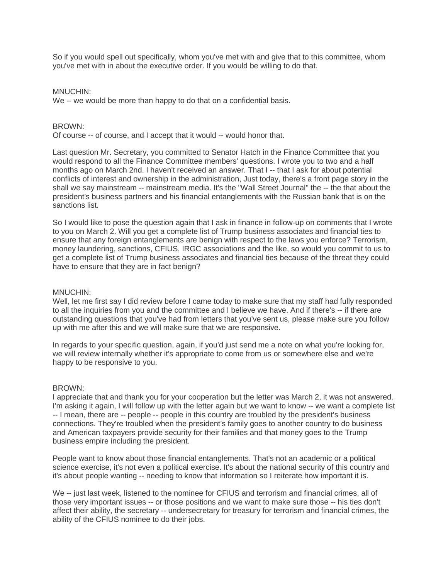So if you would spell out specifically, whom you've met with and give that to this committee, whom you've met with in about the executive order. If you would be willing to do that.

## MNUCHIN:

We -- we would be more than happy to do that on a confidential basis.

## BROWN:

Of course -- of course, and I accept that it would -- would honor that.

Last question Mr. Secretary, you committed to Senator Hatch in the Finance Committee that you would respond to all the Finance Committee members' questions. I wrote you to two and a half months ago on March 2nd. I haven't received an answer. That I -- that I ask for about potential conflicts of interest and ownership in the administration, Just today, there's a front page story in the shall we say mainstream -- mainstream media. It's the "Wall Street Journal" the -- the that about the president's business partners and his financial entanglements with the Russian bank that is on the sanctions list.

So I would like to pose the question again that I ask in finance in follow-up on comments that I wrote to you on March 2. Will you get a complete list of Trump business associates and financial ties to ensure that any foreign entanglements are benign with respect to the laws you enforce? Terrorism, money laundering, sanctions, CFIUS, IRGC associations and the like, so would you commit to us to get a complete list of Trump business associates and financial ties because of the threat they could have to ensure that they are in fact benign?

## MNUCHIN:

Well, let me first say I did review before I came today to make sure that my staff had fully responded to all the inquiries from you and the committee and I believe we have. And if there's -- if there are outstanding questions that you've had from letters that you've sent us, please make sure you follow up with me after this and we will make sure that we are responsive.

In regards to your specific question, again, if you'd just send me a note on what you're looking for, we will review internally whether it's appropriate to come from us or somewhere else and we're happy to be responsive to you.

## BROWN:

I appreciate that and thank you for your cooperation but the letter was March 2, it was not answered. I'm asking it again, I will follow up with the letter again but we want to know -- we want a complete list -- I mean, there are -- people -- people in this country are troubled by the president's business connections. They're troubled when the president's family goes to another country to do business and American taxpayers provide security for their families and that money goes to the Trump business empire including the president.

People want to know about those financial entanglements. That's not an academic or a political science exercise, it's not even a political exercise. It's about the national security of this country and it's about people wanting -- needing to know that information so I reiterate how important it is.

We -- just last week, listened to the nominee for CFIUS and terrorism and financial crimes, all of those very important issues -- or those positions and we want to make sure those -- his ties don't affect their ability, the secretary -- undersecretary for treasury for terrorism and financial crimes, the ability of the CFIUS nominee to do their jobs.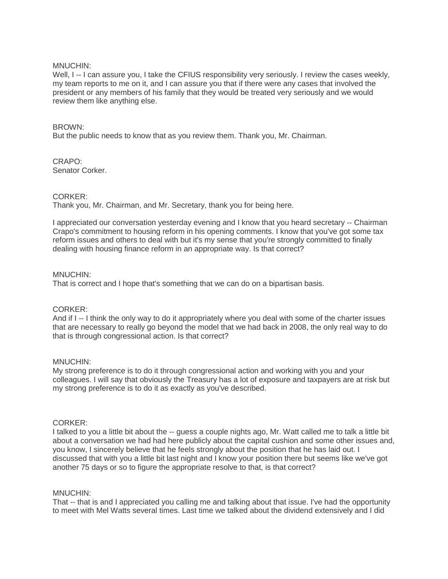## MNUCHIN:

Well, I -- I can assure you, I take the CFIUS responsibility very seriously. I review the cases weekly, my team reports to me on it, and I can assure you that if there were any cases that involved the president or any members of his family that they would be treated very seriously and we would review them like anything else.

## BROWN:

But the public needs to know that as you review them. Thank you, Mr. Chairman.

#### CRAPO: Senator Corker.

## CORKER:

Thank you, Mr. Chairman, and Mr. Secretary, thank you for being here.

I appreciated our conversation yesterday evening and I know that you heard secretary -- Chairman Crapo's commitment to housing reform in his opening comments. I know that you've got some tax reform issues and others to deal with but it's my sense that you're strongly committed to finally dealing with housing finance reform in an appropriate way. Is that correct?

## MNUCHIN:

That is correct and I hope that's something that we can do on a bipartisan basis.

## CORKER:

And if I -- I think the only way to do it appropriately where you deal with some of the charter issues that are necessary to really go beyond the model that we had back in 2008, the only real way to do that is through congressional action. Is that correct?

## MNUCHIN:

My strong preference is to do it through congressional action and working with you and your colleagues. I will say that obviously the Treasury has a lot of exposure and taxpayers are at risk but my strong preference is to do it as exactly as you've described.

## CORKER:

I talked to you a little bit about the -- guess a couple nights ago, Mr. Watt called me to talk a little bit about a conversation we had had here publicly about the capital cushion and some other issues and, you know, I sincerely believe that he feels strongly about the position that he has laid out. I discussed that with you a little bit last night and I know your position there but seems like we've got another 75 days or so to figure the appropriate resolve to that, is that correct?

## MNUCHIN:

That -- that is and I appreciated you calling me and talking about that issue. I've had the opportunity to meet with Mel Watts several times. Last time we talked about the dividend extensively and I did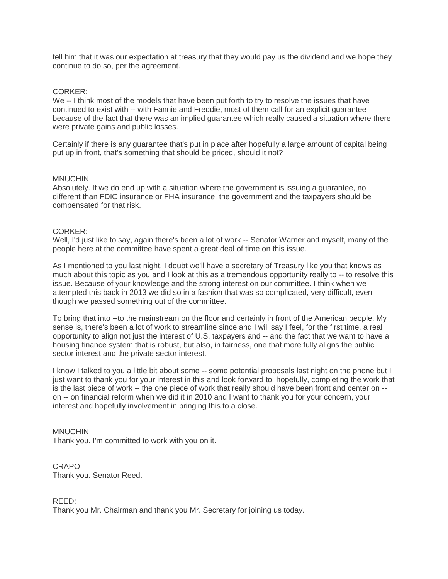tell him that it was our expectation at treasury that they would pay us the dividend and we hope they continue to do so, per the agreement.

## CORKER:

We -- I think most of the models that have been put forth to try to resolve the issues that have continued to exist with -- with Fannie and Freddie, most of them call for an explicit guarantee because of the fact that there was an implied guarantee which really caused a situation where there were private gains and public losses.

Certainly if there is any guarantee that's put in place after hopefully a large amount of capital being put up in front, that's something that should be priced, should it not?

## MNUCHIN:

Absolutely. If we do end up with a situation where the government is issuing a guarantee, no different than FDIC insurance or FHA insurance, the government and the taxpayers should be compensated for that risk.

## CORKER:

Well, I'd just like to say, again there's been a lot of work -- Senator Warner and myself, many of the people here at the committee have spent a great deal of time on this issue.

As I mentioned to you last night, I doubt we'll have a secretary of Treasury like you that knows as much about this topic as you and I look at this as a tremendous opportunity really to -- to resolve this issue. Because of your knowledge and the strong interest on our committee. I think when we attempted this back in 2013 we did so in a fashion that was so complicated, very difficult, even though we passed something out of the committee.

To bring that into --to the mainstream on the floor and certainly in front of the American people. My sense is, there's been a lot of work to streamline since and I will say I feel, for the first time, a real opportunity to align not just the interest of U.S. taxpayers and -- and the fact that we want to have a housing finance system that is robust, but also, in fairness, one that more fully aligns the public sector interest and the private sector interest.

I know I talked to you a little bit about some -- some potential proposals last night on the phone but I just want to thank you for your interest in this and look forward to, hopefully, completing the work that is the last piece of work -- the one piece of work that really should have been front and center on - on -- on financial reform when we did it in 2010 and I want to thank you for your concern, your interest and hopefully involvement in bringing this to a close.

## MNUCHIN:

Thank you. I'm committed to work with you on it.

# CRAPO:

Thank you. Senator Reed.

## REED:

Thank you Mr. Chairman and thank you Mr. Secretary for joining us today.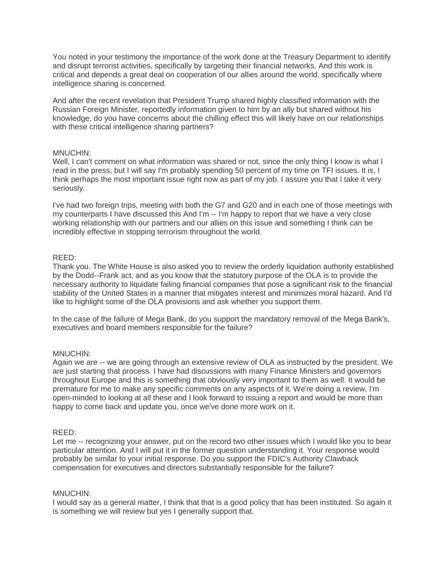You noted in your testimony the importance of the work done at the Treasury Department to identify and disrupt terrorist activities, specifically by targeting their financial networks. And this work is critical and depends a great deal on cooperation of our allies around the world, specifically where intelligence sharing is concerned.

And after the recent revelation that President Trump shared highly classified information with the Russian Foreign Minister, reportedly information given to him by an ally but shared without his knowledge, do you have concerns about the chilling effect this will likely have on our relationships with these critical intelligence sharing partners?

## MNUCHIN:

Well, I can't comment on what information was shared or not, since the only thing I know is what I read in the press, but I will say I'm probably spending 50 percent of my time on TFI issues. It is, I think perhaps the most important issue right now as part of my job. I assure you that I take it very seriously.

I've had two foreign trips, meeting with both the G7 and G20 and in each one of those meetings with my counterparts I have discussed this And I'm -- I'm happy to report that we have a very close working relationship with our partners and our allies on this issue and something I think can be incredibly effective in stopping terrorism throughout the world.

## REED:

Thank you. The White House is also asked you to review the orderly liquidation authority established by the Dodd--Frank act, and as you know that the statutory purpose of the OLA is to provide the necessary authority to liquidate failing financial companies that pose a significant risk to the financial stability of the United States in a manner that mitigates interest and minimizes moral hazard. And I'd like to highlight some of the OLA provisions and ask whether you support them.

In the case of the failure of Mega Bank, do you support the mandatory removal of the Mega Bank's, executives and board members responsible for the failure?

## MNUCHIN:

Again we are -- we are going through an extensive review of OLA as instructed by the president. We are just starting that process. I have had discussions with many Finance Ministers and governors throughout Europe and this is something that obviously very important to them as well. It would be premature for me to make any specific comments on any aspects of it. We're doing a review, I'm open-minded to looking at all these and I look forward to issuing a report and would be more than happy to come back and update you, once we've done more work on it.

## REED:

Let me -- recognizing your answer, put on the record two other issues which I would like you to bear particular attention. And I will put it in the former question understanding it. Your response would probably be similar to your initial response. Do you support the FDIC's Authority Clawback compensation for executives and directors substantially responsible for the failure?

## MNUCHIN:

I would say as a general matter, I think that that is a good policy that has been instituted. So again it is something we will review but yes I generally support that.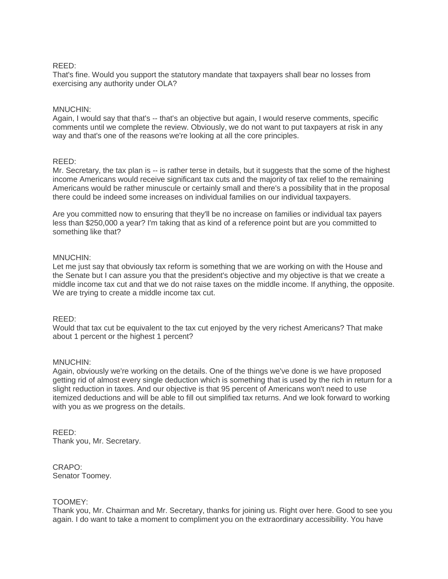## REED:

That's fine. Would you support the statutory mandate that taxpayers shall bear no losses from exercising any authority under OLA?

## MNUCHIN:

Again, I would say that that's -- that's an objective but again, I would reserve comments, specific comments until we complete the review. Obviously, we do not want to put taxpayers at risk in any way and that's one of the reasons we're looking at all the core principles.

## REED:

Mr. Secretary, the tax plan is -- is rather terse in details, but it suggests that the some of the highest income Americans would receive significant tax cuts and the majority of tax relief to the remaining Americans would be rather minuscule or certainly small and there's a possibility that in the proposal there could be indeed some increases on individual families on our individual taxpayers.

Are you committed now to ensuring that they'll be no increase on families or individual tax payers less than \$250,000 a year? I'm taking that as kind of a reference point but are you committed to something like that?

## MNUCHIN:

Let me just say that obviously tax reform is something that we are working on with the House and the Senate but I can assure you that the president's objective and my objective is that we create a middle income tax cut and that we do not raise taxes on the middle income. If anything, the opposite. We are trying to create a middle income tax cut.

## REED:

Would that tax cut be equivalent to the tax cut enjoyed by the very richest Americans? That make about 1 percent or the highest 1 percent?

## MNUCHIN:

Again, obviously we're working on the details. One of the things we've done is we have proposed getting rid of almost every single deduction which is something that is used by the rich in return for a slight reduction in taxes. And our objective is that 95 percent of Americans won't need to use itemized deductions and will be able to fill out simplified tax returns. And we look forward to working with you as we progress on the details.

REED: Thank you, Mr. Secretary.

CRAPO: Senator Toomey.

## TOOMEY:

Thank you, Mr. Chairman and Mr. Secretary, thanks for joining us. Right over here. Good to see you again. I do want to take a moment to compliment you on the extraordinary accessibility. You have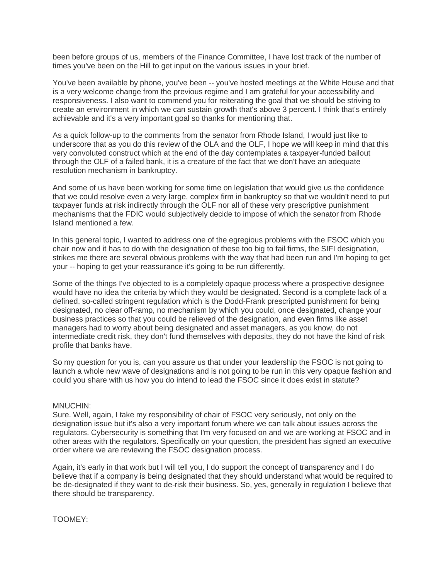been before groups of us, members of the Finance Committee, I have lost track of the number of times you've been on the Hill to get input on the various issues in your brief.

You've been available by phone, you've been -- you've hosted meetings at the White House and that is a very welcome change from the previous regime and I am grateful for your accessibility and responsiveness. I also want to commend you for reiterating the goal that we should be striving to create an environment in which we can sustain growth that's above 3 percent. I think that's entirely achievable and it's a very important goal so thanks for mentioning that.

As a quick follow-up to the comments from the senator from Rhode Island, I would just like to underscore that as you do this review of the OLA and the OLF, I hope we will keep in mind that this very convoluted construct which at the end of the day contemplates a taxpayer-funded bailout through the OLF of a failed bank, it is a creature of the fact that we don't have an adequate resolution mechanism in bankruptcy.

And some of us have been working for some time on legislation that would give us the confidence that we could resolve even a very large, complex firm in bankruptcy so that we wouldn't need to put taxpayer funds at risk indirectly through the OLF nor all of these very prescriptive punishment mechanisms that the FDIC would subjectively decide to impose of which the senator from Rhode Island mentioned a few.

In this general topic, I wanted to address one of the egregious problems with the FSOC which you chair now and it has to do with the designation of these too big to fail firms, the SIFI designation, strikes me there are several obvious problems with the way that had been run and I'm hoping to get your -- hoping to get your reassurance it's going to be run differently.

Some of the things I've objected to is a completely opaque process where a prospective designee would have no idea the criteria by which they would be designated. Second is a complete lack of a defined, so-called stringent regulation which is the Dodd-Frank prescripted punishment for being designated, no clear off-ramp, no mechanism by which you could, once designated, change your business practices so that you could be relieved of the designation, and even firms like asset managers had to worry about being designated and asset managers, as you know, do not intermediate credit risk, they don't fund themselves with deposits, they do not have the kind of risk profile that banks have.

So my question for you is, can you assure us that under your leadership the FSOC is not going to launch a whole new wave of designations and is not going to be run in this very opaque fashion and could you share with us how you do intend to lead the FSOC since it does exist in statute?

## MNUCHIN:

Sure. Well, again, I take my responsibility of chair of FSOC very seriously, not only on the designation issue but it's also a very important forum where we can talk about issues across the regulators. Cybersecurity is something that I'm very focused on and we are working at FSOC and in other areas with the regulators. Specifically on your question, the president has signed an executive order where we are reviewing the FSOC designation process.

Again, it's early in that work but I will tell you, I do support the concept of transparency and I do believe that if a company is being designated that they should understand what would be required to be de-designated if they want to de-risk their business. So, yes, generally in regulation I believe that there should be transparency.

TOOMEY: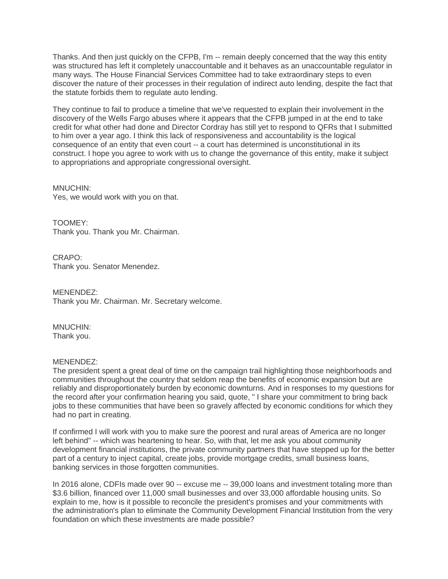Thanks. And then just quickly on the CFPB, I'm -- remain deeply concerned that the way this entity was structured has left it completely unaccountable and it behaves as an unaccountable regulator in many ways. The House Financial Services Committee had to take extraordinary steps to even discover the nature of their processes in their regulation of indirect auto lending, despite the fact that the statute forbids them to regulate auto lending.

They continue to fail to produce a timeline that we've requested to explain their involvement in the discovery of the Wells Fargo abuses where it appears that the CFPB jumped in at the end to take credit for what other had done and Director Cordray has still yet to respond to QFRs that I submitted to him over a year ago. I think this lack of responsiveness and accountability is the logical consequence of an entity that even court -- a court has determined is unconstitutional in its construct. I hope you agree to work with us to change the governance of this entity, make it subject to appropriations and appropriate congressional oversight.

MNUCHIN: Yes, we would work with you on that.

TOOMEY: Thank you. Thank you Mr. Chairman.

CRAPO: Thank you. Senator Menendez.

MENENDEZ: Thank you Mr. Chairman. Mr. Secretary welcome.

MNUCHIN: Thank you.

## MENENDEZ:

The president spent a great deal of time on the campaign trail highlighting those neighborhoods and communities throughout the country that seldom reap the benefits of economic expansion but are reliably and disproportionately burden by economic downturns. And in responses to my questions for the record after your confirmation hearing you said, quote, " I share your commitment to bring back jobs to these communities that have been so gravely affected by economic conditions for which they had no part in creating.

If confirmed I will work with you to make sure the poorest and rural areas of America are no longer left behind" -- which was heartening to hear. So, with that, let me ask you about community development financial institutions, the private community partners that have stepped up for the better part of a century to inject capital, create jobs, provide mortgage credits, small business loans, banking services in those forgotten communities.

In 2016 alone, CDFIs made over 90 -- excuse me -- 39,000 loans and investment totaling more than \$3.6 billion, financed over 11,000 small businesses and over 33,000 affordable housing units. So explain to me, how is it possible to reconcile the president's promises and your commitments with the administration's plan to eliminate the Community Development Financial Institution from the very foundation on which these investments are made possible?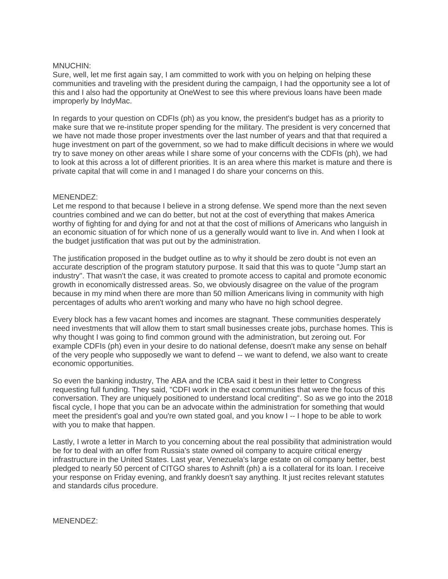## MNUCHIN:

Sure, well, let me first again say, I am committed to work with you on helping on helping these communities and traveling with the president during the campaign, I had the opportunity see a lot of this and I also had the opportunity at OneWest to see this where previous loans have been made improperly by IndyMac.

In regards to your question on CDFIs (ph) as you know, the president's budget has as a priority to make sure that we re-institute proper spending for the military. The president is very concerned that we have not made those proper investments over the last number of years and that that required a huge investment on part of the government, so we had to make difficult decisions in where we would try to save money on other areas while I share some of your concerns with the CDFIs (ph), we had to look at this across a lot of different priorities. It is an area where this market is mature and there is private capital that will come in and I managed I do share your concerns on this.

## MENENDEZ:

Let me respond to that because I believe in a strong defense. We spend more than the next seven countries combined and we can do better, but not at the cost of everything that makes America worthy of fighting for and dying for and not at that the cost of millions of Americans who languish in an economic situation of for which none of us a generally would want to live in. And when I look at the budget justification that was put out by the administration.

The justification proposed in the budget outline as to why it should be zero doubt is not even an accurate description of the program statutory purpose. It said that this was to quote "Jump start an industry". That wasn't the case, it was created to promote access to capital and promote economic growth in economically distressed areas. So, we obviously disagree on the value of the program because in my mind when there are more than 50 million Americans living in community with high percentages of adults who aren't working and many who have no high school degree.

Every block has a few vacant homes and incomes are stagnant. These communities desperately need investments that will allow them to start small businesses create jobs, purchase homes. This is why thought I was going to find common ground with the administration, but zeroing out. For example CDFIs (ph) even in your desire to do national defense, doesn't make any sense on behalf of the very people who supposedly we want to defend -- we want to defend, we also want to create economic opportunities.

So even the banking industry, The ABA and the ICBA said it best in their letter to Congress requesting full funding. They said, "CDFI work in the exact communities that were the focus of this conversation. They are uniquely positioned to understand local crediting". So as we go into the 2018 fiscal cycle, I hope that you can be an advocate within the administration for something that would meet the president's goal and you're own stated goal, and you know I -- I hope to be able to work with you to make that happen.

Lastly, I wrote a letter in March to you concerning about the real possibility that administration would be for to deal with an offer from Russia's state owned oil company to acquire critical energy infrastructure in the United States. Last year, Venezuela's large estate on oil company better, best pledged to nearly 50 percent of CITGO shares to Ashnift (ph) a is a collateral for its loan. I receive your response on Friday evening, and frankly doesn't say anything. It just recites relevant statutes and standards cifus procedure.

MENENDEZ: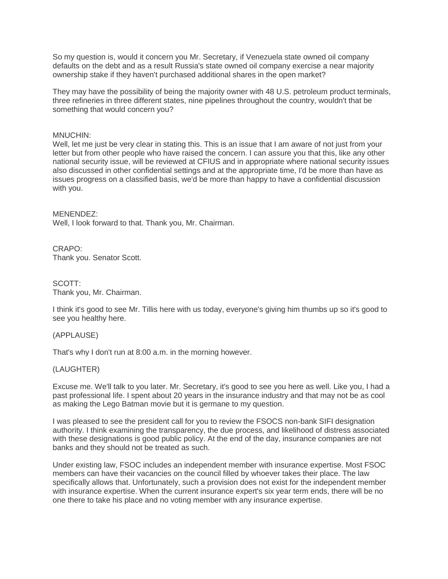So my question is, would it concern you Mr. Secretary, if Venezuela state owned oil company defaults on the debt and as a result Russia's state owned oil company exercise a near majority ownership stake if they haven't purchased additional shares in the open market?

They may have the possibility of being the majority owner with 48 U.S. petroleum product terminals, three refineries in three different states, nine pipelines throughout the country, wouldn't that be something that would concern you?

## MNUCHIN:

Well, let me just be very clear in stating this. This is an issue that I am aware of not just from your letter but from other people who have raised the concern. I can assure you that this, like any other national security issue, will be reviewed at CFIUS and in appropriate where national security issues also discussed in other confidential settings and at the appropriate time, I'd be more than have as issues progress on a classified basis, we'd be more than happy to have a confidential discussion with you.

MENENDEZ: Well, I look forward to that. Thank you, Mr. Chairman.

CRAPO: Thank you. Senator Scott.

SCOTT: Thank you, Mr. Chairman.

I think it's good to see Mr. Tillis here with us today, everyone's giving him thumbs up so it's good to see you healthy here.

## (APPLAUSE)

That's why I don't run at 8:00 a.m. in the morning however.

## (LAUGHTER)

Excuse me. We'll talk to you later. Mr. Secretary, it's good to see you here as well. Like you, I had a past professional life. I spent about 20 years in the insurance industry and that may not be as cool as making the Lego Batman movie but it is germane to my question.

I was pleased to see the president call for you to review the FSOCS non-bank SIFI designation authority. I think examining the transparency, the due process, and likelihood of distress associated with these designations is good public policy. At the end of the day, insurance companies are not banks and they should not be treated as such.

Under existing law, FSOC includes an independent member with insurance expertise. Most FSOC members can have their vacancies on the council filled by whoever takes their place. The law specifically allows that. Unfortunately, such a provision does not exist for the independent member with insurance expertise. When the current insurance expert's six year term ends, there will be no one there to take his place and no voting member with any insurance expertise.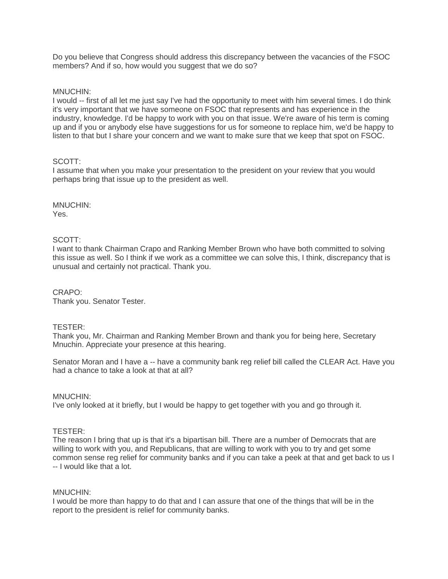Do you believe that Congress should address this discrepancy between the vacancies of the FSOC members? And if so, how would you suggest that we do so?

## MNUCHIN:

I would -- first of all let me just say I've had the opportunity to meet with him several times. I do think it's very important that we have someone on FSOC that represents and has experience in the industry, knowledge. I'd be happy to work with you on that issue. We're aware of his term is coming up and if you or anybody else have suggestions for us for someone to replace him, we'd be happy to listen to that but I share your concern and we want to make sure that we keep that spot on FSOC.

## SCOTT:

I assume that when you make your presentation to the president on your review that you would perhaps bring that issue up to the president as well.

MNUCHIN: Yes.

## SCOTT:

I want to thank Chairman Crapo and Ranking Member Brown who have both committed to solving this issue as well. So I think if we work as a committee we can solve this, I think, discrepancy that is unusual and certainly not practical. Thank you.

CRAPO: Thank you. Senator Tester.

## TESTER:

Thank you, Mr. Chairman and Ranking Member Brown and thank you for being here, Secretary Mnuchin. Appreciate your presence at this hearing.

Senator Moran and I have a -- have a community bank reg relief bill called the CLEAR Act. Have you had a chance to take a look at that at all?

## MNUCHIN:

I've only looked at it briefly, but I would be happy to get together with you and go through it.

## TESTER:

The reason I bring that up is that it's a bipartisan bill. There are a number of Democrats that are willing to work with you, and Republicans, that are willing to work with you to try and get some common sense reg relief for community banks and if you can take a peek at that and get back to us I -- I would like that a lot.

## MNUCHIN:

I would be more than happy to do that and I can assure that one of the things that will be in the report to the president is relief for community banks.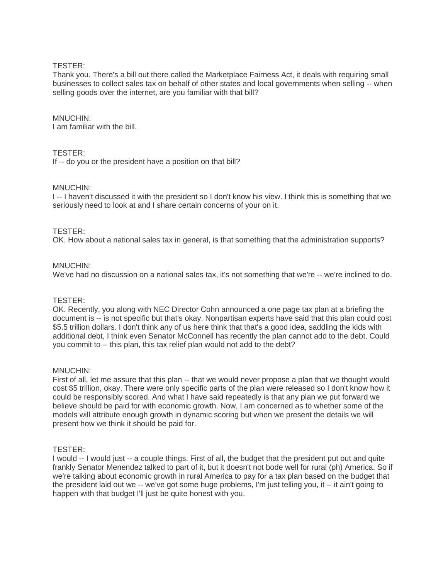## TESTER:

Thank you. There's a bill out there called the Marketplace Fairness Act, it deals with requiring small businesses to collect sales tax on behalf of other states and local governments when selling -- when selling goods over the internet, are you familiar with that bill?

## MNUCHIN:

I am familiar with the bill.

## TESTER:

If -- do you or the president have a position on that bill?

## MNUCHIN:

I -- I haven't discussed it with the president so I don't know his view. I think this is something that we seriously need to look at and I share certain concerns of your on it.

## TESTER:

OK. How about a national sales tax in general, is that something that the administration supports?

## MNUCHIN:

We've had no discussion on a national sales tax, it's not something that we're -- we're inclined to do.

## TESTER:

OK. Recently, you along with NEC Director Cohn announced a one page tax plan at a briefing the document is -- is not specific but that's okay. Nonpartisan experts have said that this plan could cost \$5.5 trillion dollars. I don't think any of us here think that that's a good idea, saddling the kids with additional debt, I think even Senator McConnell has recently the plan cannot add to the debt. Could you commit to -- this plan, this tax relief plan would not add to the debt?

## MNUCHIN:

First of all, let me assure that this plan -- that we would never propose a plan that we thought would cost \$5 trillion, okay. There were only specific parts of the plan were released so I don't know how it could be responsibly scored. And what I have said repeatedly is that any plan we put forward we believe should be paid for with economic growth. Now, I am concerned as to whether some of the models will attribute enough growth in dynamic scoring but when we present the details we will present how we think it should be paid for.

## TESTER:

I would -- I would just -- a couple things. First of all, the budget that the president put out and quite frankly Senator Menendez talked to part of it, but it doesn't not bode well for rural (ph) America. So if we're talking about economic growth in rural America to pay for a tax plan based on the budget that the president laid out we -- we've got some huge problems, I'm just telling you, it -- it ain't going to happen with that budget I'll just be quite honest with you.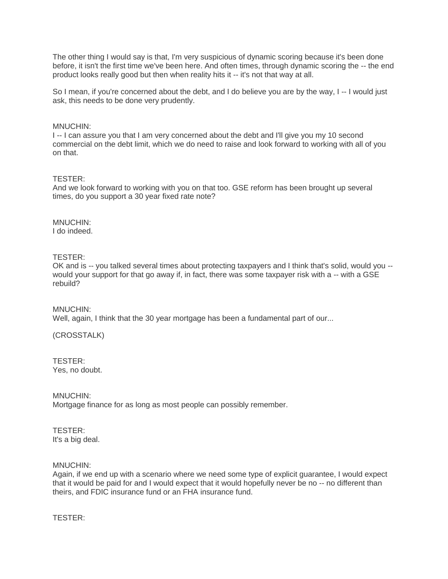The other thing I would say is that, I'm very suspicious of dynamic scoring because it's been done before, it isn't the first time we've been here. And often times, through dynamic scoring the -- the end product looks really good but then when reality hits it -- it's not that way at all.

So I mean, if you're concerned about the debt, and I do believe you are by the way, I--I would just ask, this needs to be done very prudently.

## MNUCHIN:

I -- I can assure you that I am very concerned about the debt and I'll give you my 10 second commercial on the debt limit, which we do need to raise and look forward to working with all of you on that.

## TESTER:

And we look forward to working with you on that too. GSE reform has been brought up several times, do you support a 30 year fixed rate note?

MNUCHIN: I do indeed.

## TESTER:

OK and is -- you talked several times about protecting taxpayers and I think that's solid, would you - would your support for that go away if, in fact, there was some taxpayer risk with a -- with a GSE rebuild?

MNUCHIN: Well, again, I think that the 30 year mortgage has been a fundamental part of our...

(CROSSTALK)

TESTER: Yes, no doubt.

## MNUCHIN:

Mortgage finance for as long as most people can possibly remember.

#### TESTER: It's a big deal.

## MNUCHIN:

Again, if we end up with a scenario where we need some type of explicit guarantee, I would expect that it would be paid for and I would expect that it would hopefully never be no -- no different than theirs, and FDIC insurance fund or an FHA insurance fund.

TESTER: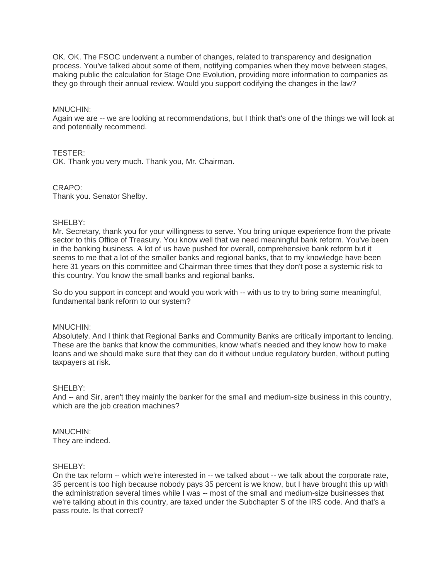OK. OK. The FSOC underwent a number of changes, related to transparency and designation process. You've talked about some of them, notifying companies when they move between stages, making public the calculation for Stage One Evolution, providing more information to companies as they go through their annual review. Would you support codifying the changes in the law?

## MNUCHIN:

Again we are -- we are looking at recommendations, but I think that's one of the things we will look at and potentially recommend.

## TESTER:

OK. Thank you very much. Thank you, Mr. Chairman.

CRAPO: Thank you. Senator Shelby.

## SHELBY:

Mr. Secretary, thank you for your willingness to serve. You bring unique experience from the private sector to this Office of Treasury. You know well that we need meaningful bank reform. You've been in the banking business. A lot of us have pushed for overall, comprehensive bank reform but it seems to me that a lot of the smaller banks and regional banks, that to my knowledge have been here 31 years on this committee and Chairman three times that they don't pose a systemic risk to this country. You know the small banks and regional banks.

So do you support in concept and would you work with -- with us to try to bring some meaningful, fundamental bank reform to our system?

## MNUCHIN:

Absolutely. And I think that Regional Banks and Community Banks are critically important to lending. These are the banks that know the communities, know what's needed and they know how to make loans and we should make sure that they can do it without undue regulatory burden, without putting taxpayers at risk.

## SHELBY:

And -- and Sir, aren't they mainly the banker for the small and medium-size business in this country, which are the job creation machines?

#### MNUCHIN: They are indeed.

## SHELBY:

On the tax reform -- which we're interested in -- we talked about -- we talk about the corporate rate, 35 percent is too high because nobody pays 35 percent is we know, but I have brought this up with the administration several times while I was -- most of the small and medium-size businesses that we're talking about in this country, are taxed under the Subchapter S of the IRS code. And that's a pass route. Is that correct?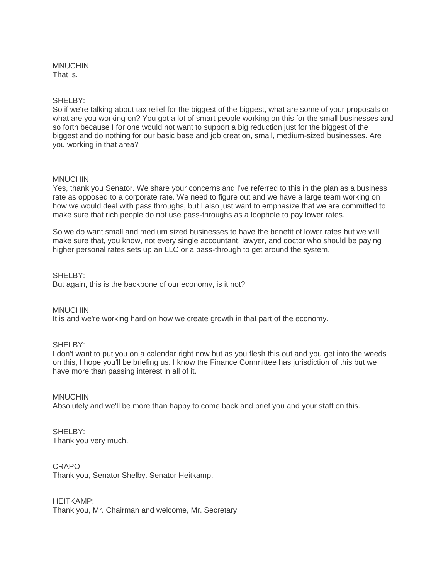## MNUCHIN: That is.

## SHELBY:

So if we're talking about tax relief for the biggest of the biggest, what are some of your proposals or what are you working on? You got a lot of smart people working on this for the small businesses and so forth because I for one would not want to support a big reduction just for the biggest of the biggest and do nothing for our basic base and job creation, small, medium-sized businesses. Are you working in that area?

## MNUCHIN:

Yes, thank you Senator. We share your concerns and I've referred to this in the plan as a business rate as opposed to a corporate rate. We need to figure out and we have a large team working on how we would deal with pass throughs, but I also just want to emphasize that we are committed to make sure that rich people do not use pass-throughs as a loophole to pay lower rates.

So we do want small and medium sized businesses to have the benefit of lower rates but we will make sure that, you know, not every single accountant, lawyer, and doctor who should be paying higher personal rates sets up an LLC or a pass-through to get around the system.

## SHELBY:

But again, this is the backbone of our economy, is it not?

## MNUCHIN:

It is and we're working hard on how we create growth in that part of the economy.

## SHELBY:

I don't want to put you on a calendar right now but as you flesh this out and you get into the weeds on this, I hope you'll be briefing us. I know the Finance Committee has jurisdiction of this but we have more than passing interest in all of it.

MNUCHIN: Absolutely and we'll be more than happy to come back and brief you and your staff on this.

## SHELBY: Thank you very much.

CRAPO: Thank you, Senator Shelby. Senator Heitkamp.

HEITKAMP: Thank you, Mr. Chairman and welcome, Mr. Secretary.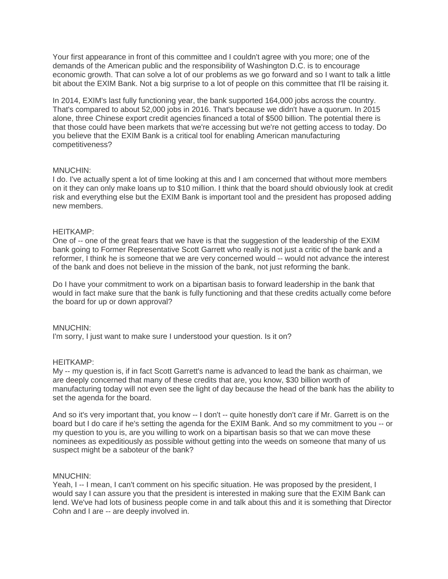Your first appearance in front of this committee and I couldn't agree with you more; one of the demands of the American public and the responsibility of Washington D.C. is to encourage economic growth. That can solve a lot of our problems as we go forward and so I want to talk a little bit about the EXIM Bank. Not a big surprise to a lot of people on this committee that I'll be raising it.

In 2014, EXIM's last fully functioning year, the bank supported 164,000 jobs across the country. That's compared to about 52,000 jobs in 2016. That's because we didn't have a quorum. In 2015 alone, three Chinese export credit agencies financed a total of \$500 billion. The potential there is that those could have been markets that we're accessing but we're not getting access to today. Do you believe that the EXIM Bank is a critical tool for enabling American manufacturing competitiveness?

## MNUCHIN:

I do. I've actually spent a lot of time looking at this and I am concerned that without more members on it they can only make loans up to \$10 million. I think that the board should obviously look at credit risk and everything else but the EXIM Bank is important tool and the president has proposed adding new members.

## HEITKAMP:

One of -- one of the great fears that we have is that the suggestion of the leadership of the EXIM bank going to Former Representative Scott Garrett who really is not just a critic of the bank and a reformer, I think he is someone that we are very concerned would -- would not advance the interest of the bank and does not believe in the mission of the bank, not just reforming the bank.

Do I have your commitment to work on a bipartisan basis to forward leadership in the bank that would in fact make sure that the bank is fully functioning and that these credits actually come before the board for up or down approval?

## MNUCHIN:

I'm sorry, I just want to make sure I understood your question. Is it on?

## HEITKAMP:

My -- my question is, if in fact Scott Garrett's name is advanced to lead the bank as chairman, we are deeply concerned that many of these credits that are, you know, \$30 billion worth of manufacturing today will not even see the light of day because the head of the bank has the ability to set the agenda for the board.

And so it's very important that, you know -- I don't -- quite honestly don't care if Mr. Garrett is on the board but I do care if he's setting the agenda for the EXIM Bank. And so my commitment to you -- or my question to you is, are you willing to work on a bipartisan basis so that we can move these nominees as expeditiously as possible without getting into the weeds on someone that many of us suspect might be a saboteur of the bank?

## MNUCHIN:

Yeah, I -- I mean, I can't comment on his specific situation. He was proposed by the president, I would say I can assure you that the president is interested in making sure that the EXIM Bank can lend. We've had lots of business people come in and talk about this and it is something that Director Cohn and I are -- are deeply involved in.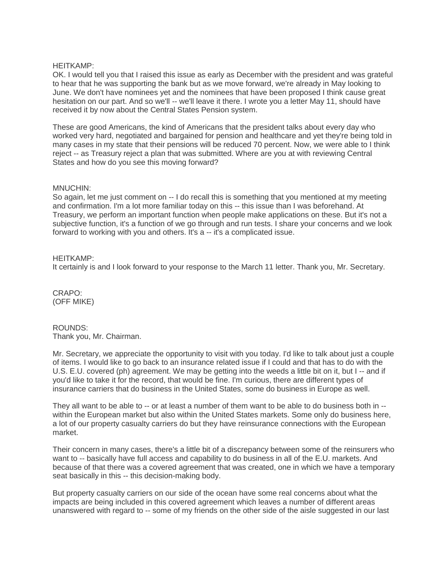## HEITKAMP:

OK. I would tell you that I raised this issue as early as December with the president and was grateful to hear that he was supporting the bank but as we move forward, we're already in May looking to June. We don't have nominees yet and the nominees that have been proposed I think cause great hesitation on our part. And so we'll -- we'll leave it there. I wrote you a letter May 11, should have received it by now about the Central States Pension system.

These are good Americans, the kind of Americans that the president talks about every day who worked very hard, negotiated and bargained for pension and healthcare and yet they're being told in many cases in my state that their pensions will be reduced 70 percent. Now, we were able to I think reject -- as Treasury reject a plan that was submitted. Where are you at with reviewing Central States and how do you see this moving forward?

## MNUCHIN:

So again, let me just comment on -- I do recall this is something that you mentioned at my meeting and confirmation. I'm a lot more familiar today on this -- this issue than I was beforehand. At Treasury, we perform an important function when people make applications on these. But it's not a subjective function, it's a function of we go through and run tests. I share your concerns and we look forward to working with you and others. It's a -- it's a complicated issue.

## HEITKAMP:

It certainly is and I look forward to your response to the March 11 letter. Thank you, Mr. Secretary.

CRAPO: (OFF MIKE)

## ROUNDS: Thank you, Mr. Chairman.

Mr. Secretary, we appreciate the opportunity to visit with you today. I'd like to talk about just a couple of items. I would like to go back to an insurance related issue if I could and that has to do with the U.S. E.U. covered (ph) agreement. We may be getting into the weeds a little bit on it, but I -- and if you'd like to take it for the record, that would be fine. I'm curious, there are different types of insurance carriers that do business in the United States, some do business in Europe as well.

They all want to be able to -- or at least a number of them want to be able to do business both in - within the European market but also within the United States markets. Some only do business here, a lot of our property casualty carriers do but they have reinsurance connections with the European market.

Their concern in many cases, there's a little bit of a discrepancy between some of the reinsurers who want to -- basically have full access and capability to do business in all of the E.U. markets. And because of that there was a covered agreement that was created, one in which we have a temporary seat basically in this -- this decision-making body.

But property casualty carriers on our side of the ocean have some real concerns about what the impacts are being included in this covered agreement which leaves a number of different areas unanswered with regard to -- some of my friends on the other side of the aisle suggested in our last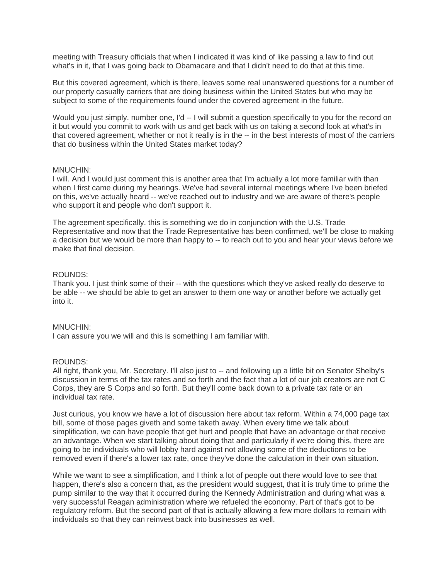meeting with Treasury officials that when I indicated it was kind of like passing a law to find out what's in it, that I was going back to Obamacare and that I didn't need to do that at this time.

But this covered agreement, which is there, leaves some real unanswered questions for a number of our property casualty carriers that are doing business within the United States but who may be subject to some of the requirements found under the covered agreement in the future.

Would you just simply, number one, I'd -- I will submit a question specifically to you for the record on it but would you commit to work with us and get back with us on taking a second look at what's in that covered agreement, whether or not it really is in the -- in the best interests of most of the carriers that do business within the United States market today?

## MNUCHIN:

I will. And I would just comment this is another area that I'm actually a lot more familiar with than when I first came during my hearings. We've had several internal meetings where I've been briefed on this, we've actually heard -- we've reached out to industry and we are aware of there's people who support it and people who don't support it.

The agreement specifically, this is something we do in conjunction with the U.S. Trade Representative and now that the Trade Representative has been confirmed, we'll be close to making a decision but we would be more than happy to -- to reach out to you and hear your views before we make that final decision.

#### ROUNDS:

Thank you. I just think some of their -- with the questions which they've asked really do deserve to be able -- we should be able to get an answer to them one way or another before we actually get into it.

## MNUCHIN:

I can assure you we will and this is something I am familiar with.

## ROUNDS:

All right, thank you, Mr. Secretary. I'll also just to -- and following up a little bit on Senator Shelby's discussion in terms of the tax rates and so forth and the fact that a lot of our job creators are not C Corps, they are S Corps and so forth. But they'll come back down to a private tax rate or an individual tax rate.

Just curious, you know we have a lot of discussion here about tax reform. Within a 74,000 page tax bill, some of those pages giveth and some taketh away. When every time we talk about simplification, we can have people that get hurt and people that have an advantage or that receive an advantage. When we start talking about doing that and particularly if we're doing this, there are going to be individuals who will lobby hard against not allowing some of the deductions to be removed even if there's a lower tax rate, once they've done the calculation in their own situation.

While we want to see a simplification, and I think a lot of people out there would love to see that happen, there's also a concern that, as the president would suggest, that it is truly time to prime the pump similar to the way that it occurred during the Kennedy Administration and during what was a very successful Reagan administration where we refueled the economy. Part of that's got to be regulatory reform. But the second part of that is actually allowing a few more dollars to remain with individuals so that they can reinvest back into businesses as well.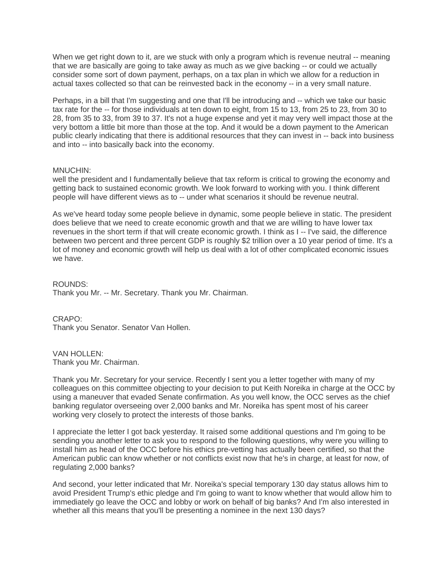When we get right down to it, are we stuck with only a program which is revenue neutral -- meaning that we are basically are going to take away as much as we give backing -- or could we actually consider some sort of down payment, perhaps, on a tax plan in which we allow for a reduction in actual taxes collected so that can be reinvested back in the economy -- in a very small nature.

Perhaps, in a bill that I'm suggesting and one that I'll be introducing and -- which we take our basic tax rate for the -- for those individuals at ten down to eight, from 15 to 13, from 25 to 23, from 30 to 28, from 35 to 33, from 39 to 37. It's not a huge expense and yet it may very well impact those at the very bottom a little bit more than those at the top. And it would be a down payment to the American public clearly indicating that there is additional resources that they can invest in -- back into business and into -- into basically back into the economy.

## MNUCHIN:

well the president and I fundamentally believe that tax reform is critical to growing the economy and getting back to sustained economic growth. We look forward to working with you. I think different people will have different views as to -- under what scenarios it should be revenue neutral.

As we've heard today some people believe in dynamic, some people believe in static. The president does believe that we need to create economic growth and that we are willing to have lower tax revenues in the short term if that will create economic growth. I think as I -- I've said, the difference between two percent and three percent GDP is roughly \$2 trillion over a 10 year period of time. It's a lot of money and economic growth will help us deal with a lot of other complicated economic issues we have.

ROUNDS: Thank you Mr. -- Mr. Secretary. Thank you Mr. Chairman.

CRAPO: Thank you Senator. Senator Van Hollen.

VAN HOLLEN: Thank you Mr. Chairman.

Thank you Mr. Secretary for your service. Recently I sent you a letter together with many of my colleagues on this committee objecting to your decision to put Keith Noreika in charge at the OCC by using a maneuver that evaded Senate confirmation. As you well know, the OCC serves as the chief banking regulator overseeing over 2,000 banks and Mr. Noreika has spent most of his career working very closely to protect the interests of those banks.

I appreciate the letter I got back yesterday. It raised some additional questions and I'm going to be sending you another letter to ask you to respond to the following questions, why were you willing to install him as head of the OCC before his ethics pre-vetting has actually been certified, so that the American public can know whether or not conflicts exist now that he's in charge, at least for now, of regulating 2,000 banks?

And second, your letter indicated that Mr. Noreika's special temporary 130 day status allows him to avoid President Trump's ethic pledge and I'm going to want to know whether that would allow him to immediately go leave the OCC and lobby or work on behalf of big banks? And I'm also interested in whether all this means that you'll be presenting a nominee in the next 130 days?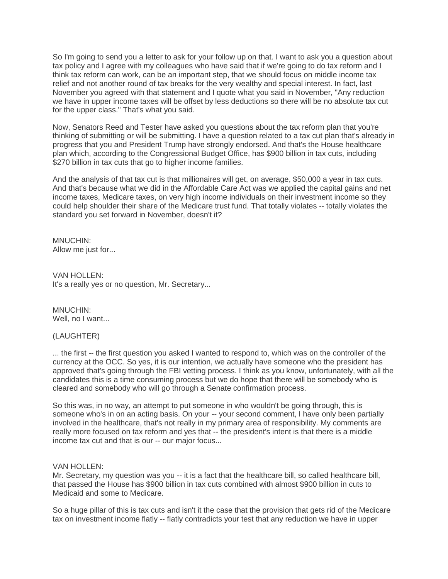So I'm going to send you a letter to ask for your follow up on that. I want to ask you a question about tax policy and I agree with my colleagues who have said that if we're going to do tax reform and I think tax reform can work, can be an important step, that we should focus on middle income tax relief and not another round of tax breaks for the very wealthy and special interest. In fact, last November you agreed with that statement and I quote what you said in November, "Any reduction we have in upper income taxes will be offset by less deductions so there will be no absolute tax cut for the upper class." That's what you said.

Now, Senators Reed and Tester have asked you questions about the tax reform plan that you're thinking of submitting or will be submitting. I have a question related to a tax cut plan that's already in progress that you and President Trump have strongly endorsed. And that's the House healthcare plan which, according to the Congressional Budget Office, has \$900 billion in tax cuts, including \$270 billion in tax cuts that go to higher income families.

And the analysis of that tax cut is that millionaires will get, on average, \$50,000 a year in tax cuts. And that's because what we did in the Affordable Care Act was we applied the capital gains and net income taxes, Medicare taxes, on very high income individuals on their investment income so they could help shoulder their share of the Medicare trust fund. That totally violates -- totally violates the standard you set forward in November, doesn't it?

MNUCHIN: Allow me just for...

VAN HOLLEN: It's a really yes or no question, Mr. Secretary...

MNUCHIN: Well, no I want...

## (LAUGHTER)

... the first -- the first question you asked I wanted to respond to, which was on the controller of the currency at the OCC. So yes, it is our intention, we actually have someone who the president has approved that's going through the FBI vetting process. I think as you know, unfortunately, with all the candidates this is a time consuming process but we do hope that there will be somebody who is cleared and somebody who will go through a Senate confirmation process.

So this was, in no way, an attempt to put someone in who wouldn't be going through, this is someone who's in on an acting basis. On your -- your second comment, I have only been partially involved in the healthcare, that's not really in my primary area of responsibility. My comments are really more focused on tax reform and yes that -- the president's intent is that there is a middle income tax cut and that is our -- our major focus...

## VAN HOLLEN:

Mr. Secretary, my question was you -- it is a fact that the healthcare bill, so called healthcare bill, that passed the House has \$900 billion in tax cuts combined with almost \$900 billion in cuts to Medicaid and some to Medicare.

So a huge pillar of this is tax cuts and isn't it the case that the provision that gets rid of the Medicare tax on investment income flatly -- flatly contradicts your test that any reduction we have in upper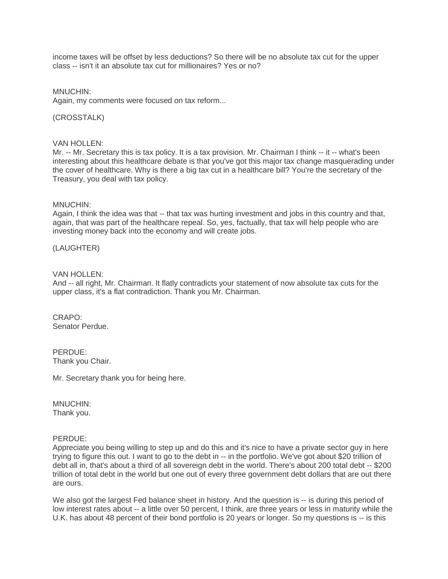income taxes will be offset by less deductions? So there will be no absolute tax cut for the upper class -- isn't it an absolute tax cut for millionaires? Yes or no?

MNUCHIN:

Again, my comments were focused on tax reform...

(CROSSTALK)

## VAN HOLLEN:

Mr. -- Mr. Secretary this is tax policy. It is a tax provision. Mr. Chairman I think -- it -- what's been interesting about this healthcare debate is that you've got this major tax change masquerading under the cover of healthcare. Why is there a big tax cut in a healthcare bill? You're the secretary of the Treasury, you deal with tax policy.

## MNUCHIN:

Again, I think the idea was that -- that tax was hurting investment and jobs in this country and that, again, that was part of the healthcare repeal. So, yes, factually, that tax will help people who are investing money back into the economy and will create jobs.

(LAUGHTER)

## VAN HOLLEN:

And -- all right, Mr. Chairman. It flatly contradicts your statement of now absolute tax cuts for the upper class, it's a flat contradiction. Thank you Mr. Chairman.

CRAPO: Senator Perdue.

PERDUE: Thank you Chair.

Mr. Secretary thank you for being here.

MNUCHIN: Thank you.

## PERDUE:

Appreciate you being willing to step up and do this and it's nice to have a private sector guy in here trying to figure this out. I want to go to the debt in -- in the portfolio. We've got about \$20 trillion of debt all in, that's about a third of all sovereign debt in the world. There's about 200 total debt -- \$200 trillion of total debt in the world but one out of every three government debt dollars that are out there are ours.

We also got the largest Fed balance sheet in history. And the question is -- is during this period of low interest rates about -- a little over 50 percent, I think, are three years or less in maturity while the U.K. has about 48 percent of their bond portfolio is 20 years or longer. So my questions is -- is this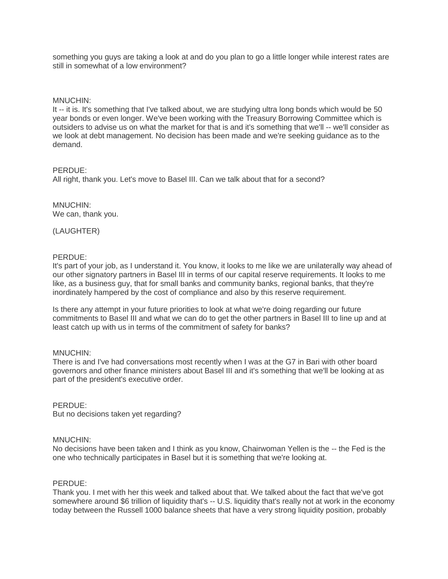something you guys are taking a look at and do you plan to go a little longer while interest rates are still in somewhat of a low environment?

## MNUCHIN:

It -- it is. It's something that I've talked about, we are studying ultra long bonds which would be 50 year bonds or even longer. We've been working with the Treasury Borrowing Committee which is outsiders to advise us on what the market for that is and it's something that we'll -- we'll consider as we look at debt management. No decision has been made and we're seeking guidance as to the demand.

## PERDUE:

All right, thank you. Let's move to Basel III. Can we talk about that for a second?

MNUCHIN: We can, thank you.

(LAUGHTER)

## PERDUE:

It's part of your job, as I understand it. You know, it looks to me like we are unilaterally way ahead of our other signatory partners in Basel III in terms of our capital reserve requirements. It looks to me like, as a business guy, that for small banks and community banks, regional banks, that they're inordinately hampered by the cost of compliance and also by this reserve requirement.

Is there any attempt in your future priorities to look at what we're doing regarding our future commitments to Basel III and what we can do to get the other partners in Basel III to line up and at least catch up with us in terms of the commitment of safety for banks?

## MNUCHIN:

There is and I've had conversations most recently when I was at the G7 in Bari with other board governors and other finance ministers about Basel III and it's something that we'll be looking at as part of the president's executive order.

## PERDUE:

But no decisions taken yet regarding?

## MNUCHIN:

No decisions have been taken and I think as you know, Chairwoman Yellen is the -- the Fed is the one who technically participates in Basel but it is something that we're looking at.

## PERDUE:

Thank you. I met with her this week and talked about that. We talked about the fact that we've got somewhere around \$6 trillion of liquidity that's -- U.S. liquidity that's really not at work in the economy today between the Russell 1000 balance sheets that have a very strong liquidity position, probably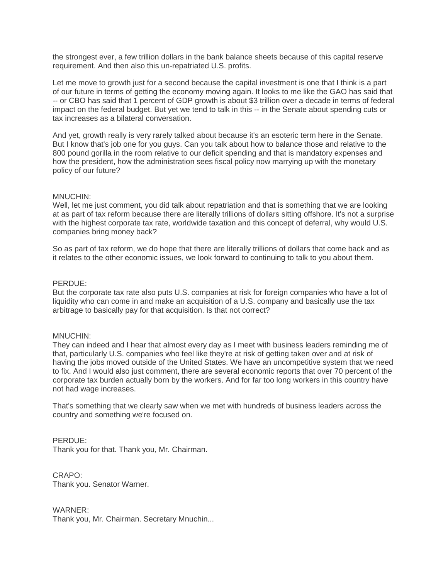the strongest ever, a few trillion dollars in the bank balance sheets because of this capital reserve requirement. And then also this un-repatriated U.S. profits.

Let me move to growth just for a second because the capital investment is one that I think is a part of our future in terms of getting the economy moving again. It looks to me like the GAO has said that -- or CBO has said that 1 percent of GDP growth is about \$3 trillion over a decade in terms of federal impact on the federal budget. But yet we tend to talk in this -- in the Senate about spending cuts or tax increases as a bilateral conversation.

And yet, growth really is very rarely talked about because it's an esoteric term here in the Senate. But I know that's job one for you guys. Can you talk about how to balance those and relative to the 800 pound gorilla in the room relative to our deficit spending and that is mandatory expenses and how the president, how the administration sees fiscal policy now marrying up with the monetary policy of our future?

## MNUCHIN:

Well, let me just comment, you did talk about repatriation and that is something that we are looking at as part of tax reform because there are literally trillions of dollars sitting offshore. It's not a surprise with the highest corporate tax rate, worldwide taxation and this concept of deferral, why would U.S. companies bring money back?

So as part of tax reform, we do hope that there are literally trillions of dollars that come back and as it relates to the other economic issues, we look forward to continuing to talk to you about them.

## PERDUE:

But the corporate tax rate also puts U.S. companies at risk for foreign companies who have a lot of liquidity who can come in and make an acquisition of a U.S. company and basically use the tax arbitrage to basically pay for that acquisition. Is that not correct?

## MNUCHIN:

They can indeed and I hear that almost every day as I meet with business leaders reminding me of that, particularly U.S. companies who feel like they're at risk of getting taken over and at risk of having the jobs moved outside of the United States. We have an uncompetitive system that we need to fix. And I would also just comment, there are several economic reports that over 70 percent of the corporate tax burden actually born by the workers. And for far too long workers in this country have not had wage increases.

That's something that we clearly saw when we met with hundreds of business leaders across the country and something we're focused on.

## PERDUE:

Thank you for that. Thank you, Mr. Chairman.

CRAPO: Thank you. Senator Warner.

WARNER: Thank you, Mr. Chairman. Secretary Mnuchin...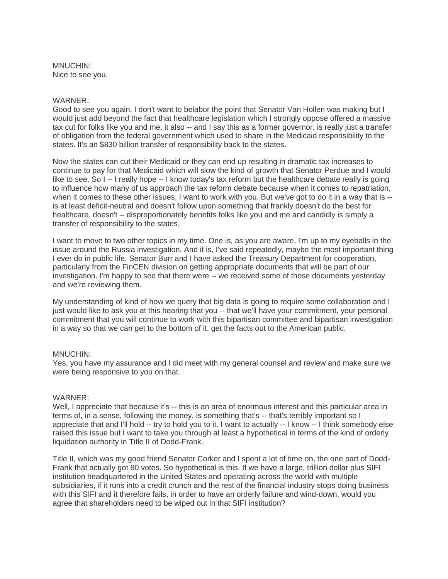MNUCHIN: Nice to see you.

## WARNER:

Good to see you again. I don't want to belabor the point that Senator Van Hollen was making but I would just add beyond the fact that healthcare legislation which I strongly oppose offered a massive tax cut for folks like you and me, it also -- and I say this as a former governor, is really just a transfer of obligation from the federal government which used to share in the Medicaid responsibility to the states. It's an \$830 billion transfer of responsibility back to the states.

Now the states can cut their Medicaid or they can end up resulting in dramatic tax increases to continue to pay for that Medicaid which will slow the kind of growth that Senator Perdue and I would like to see. So I -- I really hope -- I know today's tax reform but the healthcare debate really is going to influence how many of us approach the tax reform debate because when it comes to repatriation, when it comes to these other issues, I want to work with you. But we've got to do it in a way that is -is at least deficit-neutral and doesn't follow upon something that frankly doesn't do the best for healthcare, doesn't -- disproportionately benefits folks like you and me and candidly is simply a transfer of responsibility to the states.

I want to move to two other topics in my time. One is, as you are aware, I'm up to my eyeballs in the issue around the Russia investigation. And it is, I've said repeatedly, maybe the most important thing I ever do in public life. Senator Burr and I have asked the Treasury Department for cooperation, particularly from the FinCEN division on getting appropriate documents that will be part of our investigation. I'm happy to see that there were -- we received some of those documents yesterday and we're reviewing them.

My understanding of kind of how we query that big data is going to require some collaboration and I just would like to ask you at this hearing that you -- that we'll have your commitment, your personal commitment that you will continue to work with this bipartisan committee and bipartisan investigation in a way so that we can get to the bottom of it, get the facts out to the American public.

## MNUCHIN:

Yes, you have my assurance and I did meet with my general counsel and review and make sure we were being responsive to you on that.

## WARNER:

Well, I appreciate that because it's -- this is an area of enormous interest and this particular area in terms of, in a sense, following the money, is something that's -- that's terribly important so I appreciate that and I'll hold -- try to hold you to it. I want to actually -- I know -- I think somebody else raised this issue but I want to take you through at least a hypothetical in terms of the kind of orderly liquidation authority in Title II of Dodd-Frank.

Title II, which was my good friend Senator Corker and I spent a lot of time on, the one part of Dodd-Frank that actually got 80 votes. So hypothetical is this. If we have a large, trillion dollar plus SIFI institution headquartered in the United States and operating across the world with multiple subsidiaries, if it runs into a credit crunch and the rest of the financial industry stops doing business with this SIFI and it therefore fails, in order to have an orderly failure and wind-down, would you agree that shareholders need to be wiped out in that SIFI institution?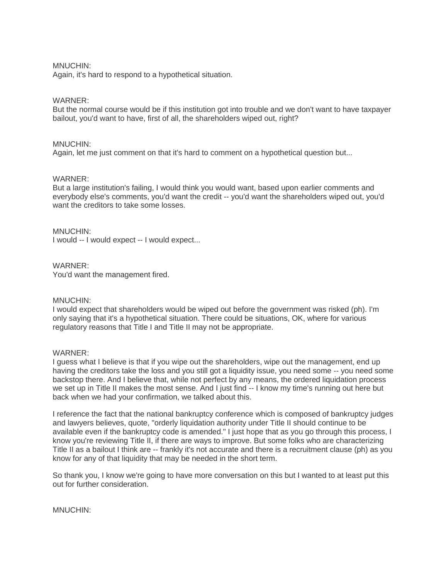## MNUCHIN:

Again, it's hard to respond to a hypothetical situation.

## WARNER:

But the normal course would be if this institution got into trouble and we don't want to have taxpayer bailout, you'd want to have, first of all, the shareholders wiped out, right?

## MNUCHIN:

Again, let me just comment on that it's hard to comment on a hypothetical question but...

## WARNER:

But a large institution's failing, I would think you would want, based upon earlier comments and everybody else's comments, you'd want the credit -- you'd want the shareholders wiped out, you'd want the creditors to take some losses.

## MNUCHIN:

I would -- I would expect -- I would expect...

## WARNER:

You'd want the management fired.

## MNUCHIN:

I would expect that shareholders would be wiped out before the government was risked (ph). I'm only saying that it's a hypothetical situation. There could be situations, OK, where for various regulatory reasons that Title I and Title II may not be appropriate.

## WARNER:

I guess what I believe is that if you wipe out the shareholders, wipe out the management, end up having the creditors take the loss and you still got a liquidity issue, you need some -- you need some backstop there. And I believe that, while not perfect by any means, the ordered liquidation process we set up in Title II makes the most sense. And I just find -- I know my time's running out here but back when we had your confirmation, we talked about this.

I reference the fact that the national bankruptcy conference which is composed of bankruptcy judges and lawyers believes, quote, "orderly liquidation authority under Title II should continue to be available even if the bankruptcy code is amended." I just hope that as you go through this process, I know you're reviewing Title II, if there are ways to improve. But some folks who are characterizing Title II as a bailout I think are -- frankly it's not accurate and there is a recruitment clause (ph) as you know for any of that liquidity that may be needed in the short term.

So thank you, I know we're going to have more conversation on this but I wanted to at least put this out for further consideration.

MNUCHIN: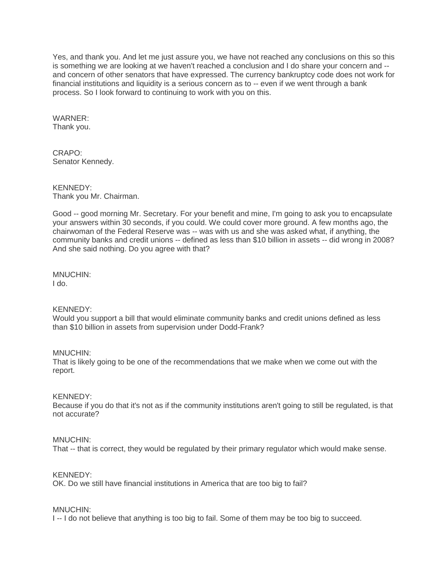Yes, and thank you. And let me just assure you, we have not reached any conclusions on this so this is something we are looking at we haven't reached a conclusion and I do share your concern and - and concern of other senators that have expressed. The currency bankruptcy code does not work for financial institutions and liquidity is a serious concern as to -- even if we went through a bank process. So I look forward to continuing to work with you on this.

WARNER: Thank you.

CRAPO: Senator Kennedy.

KENNEDY: Thank you Mr. Chairman.

Good -- good morning Mr. Secretary. For your benefit and mine, I'm going to ask you to encapsulate your answers within 30 seconds, if you could. We could cover more ground. A few months ago, the chairwoman of the Federal Reserve was -- was with us and she was asked what, if anything, the community banks and credit unions -- defined as less than \$10 billion in assets -- did wrong in 2008? And she said nothing. Do you agree with that?

MNUCHIN: I do.

KENNEDY:

Would you support a bill that would eliminate community banks and credit unions defined as less than \$10 billion in assets from supervision under Dodd-Frank?

MNUCHIN:

That is likely going to be one of the recommendations that we make when we come out with the report.

KENNEDY:

Because if you do that it's not as if the community institutions aren't going to still be regulated, is that not accurate?

## MNUCHIN:

That -- that is correct, they would be regulated by their primary regulator which would make sense.

KENNEDY:

OK. Do we still have financial institutions in America that are too big to fail?

MNUCHIN:

I -- I do not believe that anything is too big to fail. Some of them may be too big to succeed.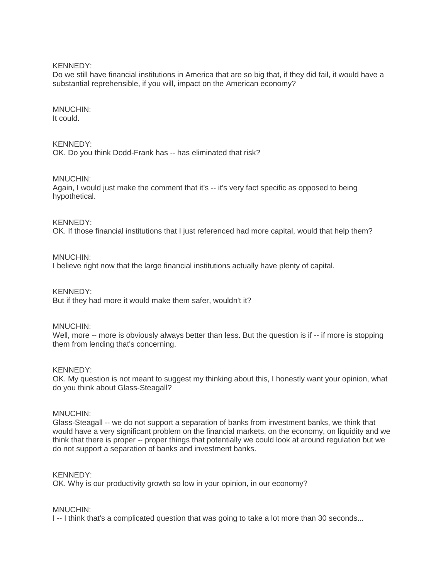KENNEDY:

Do we still have financial institutions in America that are so big that, if they did fail, it would have a substantial reprehensible, if you will, impact on the American economy?

## MNUCHIN: It could.

KENNEDY: OK. Do you think Dodd-Frank has -- has eliminated that risk?

## MNUCHIN:

Again, I would just make the comment that it's -- it's very fact specific as opposed to being hypothetical.

KENNEDY:

OK. If those financial institutions that I just referenced had more capital, would that help them?

## MNUCHIN:

I believe right now that the large financial institutions actually have plenty of capital.

## KENNEDY:

But if they had more it would make them safer, wouldn't it?

## MNUCHIN:

Well, more -- more is obviously always better than less. But the question is if -- if more is stopping them from lending that's concerning.

## KENNEDY:

OK. My question is not meant to suggest my thinking about this, I honestly want your opinion, what do you think about Glass-Steagall?

## MNUCHIN:

Glass-Steagall -- we do not support a separation of banks from investment banks, we think that would have a very significant problem on the financial markets, on the economy, on liquidity and we think that there is proper -- proper things that potentially we could look at around regulation but we do not support a separation of banks and investment banks.

## KENNEDY:

OK. Why is our productivity growth so low in your opinion, in our economy?

## MNUCHIN:

I -- I think that's a complicated question that was going to take a lot more than 30 seconds...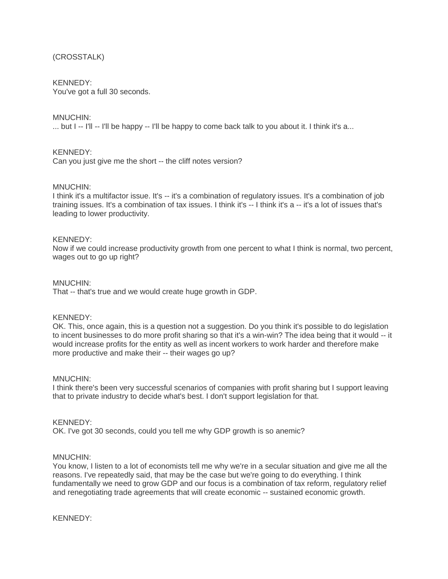## (CROSSTALK)

## KENNEDY:

You've got a full 30 seconds.

## MNUCHIN:

 $\ldots$  but I  $\ldots$  I'll  $\ldots$  I'll be happy  $\ldots$  I'll be happy to come back talk to you about it. I think it's a...

## KENNEDY:

Can you just give me the short -- the cliff notes version?

## MNUCHIN:

I think it's a multifactor issue. It's -- it's a combination of regulatory issues. It's a combination of job training issues. It's a combination of tax issues. I think it's -- I think it's a -- it's a lot of issues that's leading to lower productivity.

## KENNEDY:

Now if we could increase productivity growth from one percent to what I think is normal, two percent, wages out to go up right?

## MNUCHIN:

That -- that's true and we would create huge growth in GDP.

## KENNEDY:

OK. This, once again, this is a question not a suggestion. Do you think it's possible to do legislation to incent businesses to do more profit sharing so that it's a win-win? The idea being that it would -- it would increase profits for the entity as well as incent workers to work harder and therefore make more productive and make their -- their wages go up?

## MNUCHIN:

I think there's been very successful scenarios of companies with profit sharing but I support leaving that to private industry to decide what's best. I don't support legislation for that.

## KENNEDY:

OK. I've got 30 seconds, could you tell me why GDP growth is so anemic?

## MNUCHIN:

You know, I listen to a lot of economists tell me why we're in a secular situation and give me all the reasons. I've repeatedly said, that may be the case but we're going to do everything. I think fundamentally we need to grow GDP and our focus is a combination of tax reform, regulatory relief and renegotiating trade agreements that will create economic -- sustained economic growth.

## KENNEDY: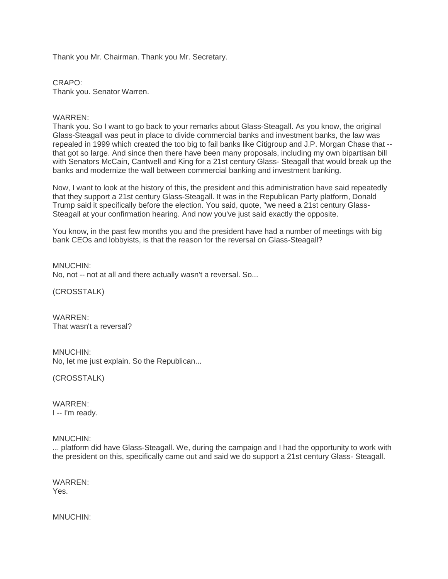Thank you Mr. Chairman. Thank you Mr. Secretary.

CRAPO: Thank you. Senator Warren.

WARREN:

Thank you. So I want to go back to your remarks about Glass-Steagall. As you know, the original Glass-Steagall was peut in place to divide commercial banks and investment banks, the law was repealed in 1999 which created the too big to fail banks like Citigroup and J.P. Morgan Chase that - that got so large. And since then there have been many proposals, including my own bipartisan bill with Senators McCain, Cantwell and King for a 21st century Glass- Steagall that would break up the banks and modernize the wall between commercial banking and investment banking.

Now, I want to look at the history of this, the president and this administration have said repeatedly that they support a 21st century Glass-Steagall. It was in the Republican Party platform, Donald Trump said it specifically before the election. You said, quote, "we need a 21st century Glass-Steagall at your confirmation hearing. And now you've just said exactly the opposite.

You know, in the past few months you and the president have had a number of meetings with big bank CEOs and lobbyists, is that the reason for the reversal on Glass-Steagall?

MNUCHIN: No, not -- not at all and there actually wasn't a reversal. So...

(CROSSTALK)

WARREN: That wasn't a reversal?

MNUCHIN: No, let me just explain. So the Republican...

(CROSSTALK)

WARREN: I -- I'm ready.

MNUCHIN:

... platform did have Glass-Steagall. We, during the campaign and I had the opportunity to work with the president on this, specifically came out and said we do support a 21st century Glass- Steagall.

WARREN: Yes.

MNUCHIN: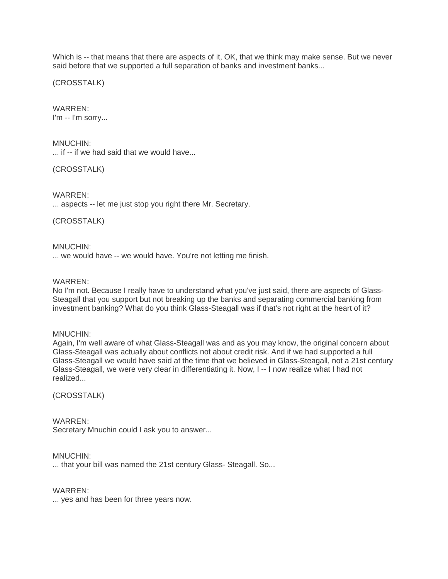Which is -- that means that there are aspects of it, OK, that we think may make sense. But we never said before that we supported a full separation of banks and investment banks...

(CROSSTALK)

WARREN: I'm -- I'm sorry...

MNUCHIN:

... if -- if we had said that we would have...

(CROSSTALK)

WARREN:

... aspects -- let me just stop you right there Mr. Secretary.

(CROSSTALK)

MNUCHIN: ... we would have -- we would have. You're not letting me finish.

## WARREN:

No I'm not. Because I really have to understand what you've just said, there are aspects of Glass-Steagall that you support but not breaking up the banks and separating commercial banking from investment banking? What do you think Glass-Steagall was if that's not right at the heart of it?

MNUCHIN:

Again, I'm well aware of what Glass-Steagall was and as you may know, the original concern about Glass-Steagall was actually about conflicts not about credit risk. And if we had supported a full Glass-Steagall we would have said at the time that we believed in Glass-Steagall, not a 21st century Glass-Steagall, we were very clear in differentiating it. Now, I -- I now realize what I had not realized...

(CROSSTALK)

## WARREN:

Secretary Mnuchin could I ask you to answer...

## MNUCHIN:

... that your bill was named the 21st century Glass- Steagall. So...

WARREN:

... yes and has been for three years now.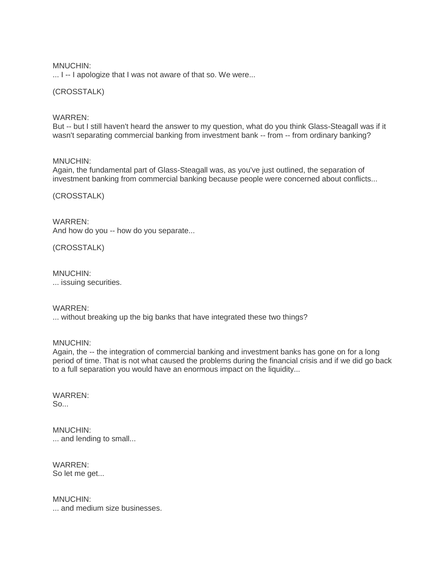## MNUCHIN:

... I -- I apologize that I was not aware of that so. We were...

## (CROSSTALK)

## WARREN:

But -- but I still haven't heard the answer to my question, what do you think Glass-Steagall was if it wasn't separating commercial banking from investment bank -- from -- from ordinary banking?

## MNUCHIN:

Again, the fundamental part of Glass-Steagall was, as you've just outlined, the separation of investment banking from commercial banking because people were concerned about conflicts...

## (CROSSTALK)

WARREN: And how do you -- how do you separate...

(CROSSTALK)

#### MNUCHIN: ... issuing securities.

## WARREN:

... without breaking up the big banks that have integrated these two things?

MNUCHIN:

Again, the -- the integration of commercial banking and investment banks has gone on for a long period of time. That is not what caused the problems during the financial crisis and if we did go back to a full separation you would have an enormous impact on the liquidity...

#### WARREN:  $So...$

MNUCHIN: ... and lending to small...

WARREN: So let me get...

MNUCHIN: ... and medium size businesses.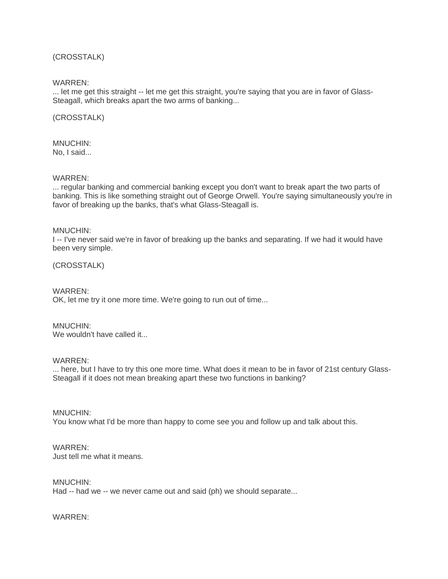## (CROSSTALK)

WARREN:

... let me get this straight -- let me get this straight, you're saying that you are in favor of Glass-Steagall, which breaks apart the two arms of banking...

(CROSSTALK)

MNUCHIN: No, I said...

WARREN:

... regular banking and commercial banking except you don't want to break apart the two parts of banking. This is like something straight out of George Orwell. You're saying simultaneously you're in favor of breaking up the banks, that's what Glass-Steagall is.

MNUCHIN:

I -- I've never said we're in favor of breaking up the banks and separating. If we had it would have been very simple.

(CROSSTALK)

WARREN:

OK, let me try it one more time. We're going to run out of time...

MNUCHIN: We wouldn't have called it.

WARREN:

... here, but I have to try this one more time. What does it mean to be in favor of 21st century Glass-Steagall if it does not mean breaking apart these two functions in banking?

MNUCHIN:

You know what I'd be more than happy to come see you and follow up and talk about this.

WARREN:

Just tell me what it means.

MNUCHIN:

Had -- had we -- we never came out and said (ph) we should separate...

WARREN: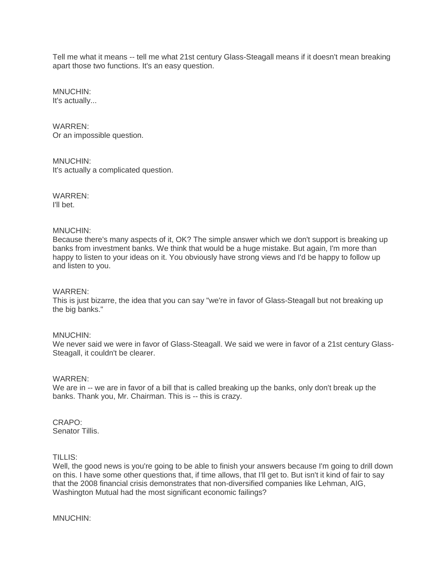Tell me what it means -- tell me what 21st century Glass-Steagall means if it doesn't mean breaking apart those two functions. It's an easy question.

MNUCHIN: It's actually...

WARREN: Or an impossible question.

MNUCHIN: It's actually a complicated question.

WARREN: I'll bet.

## MNUCHIN:

Because there's many aspects of it, OK? The simple answer which we don't support is breaking up banks from investment banks. We think that would be a huge mistake. But again, I'm more than happy to listen to your ideas on it. You obviously have strong views and I'd be happy to follow up and listen to you.

## WARREN:

This is just bizarre, the idea that you can say "we're in favor of Glass-Steagall but not breaking up the big banks."

## MNUCHIN:

We never said we were in favor of Glass-Steagall. We said we were in favor of a 21st century Glass-Steagall, it couldn't be clearer.

## WARREN:

We are in -- we are in favor of a bill that is called breaking up the banks, only don't break up the banks. Thank you, Mr. Chairman. This is -- this is crazy.

#### CRAPO: Senator Tillis.

TILLIS:

Well, the good news is you're going to be able to finish your answers because I'm going to drill down on this. I have some other questions that, if time allows, that I'll get to. But isn't it kind of fair to say that the 2008 financial crisis demonstrates that non-diversified companies like Lehman, AIG, Washington Mutual had the most significant economic failings?

MNUCHIN: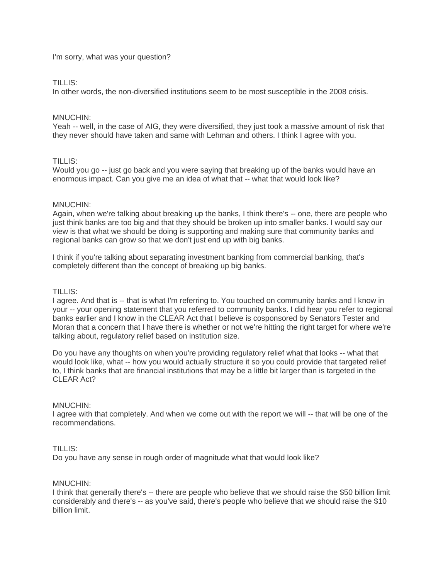I'm sorry, what was your question?

## TILLIS:

In other words, the non-diversified institutions seem to be most susceptible in the 2008 crisis.

## MNUCHIN:

Yeah -- well, in the case of AIG, they were diversified, they just took a massive amount of risk that they never should have taken and same with Lehman and others. I think I agree with you.

## TILLIS:

Would you go -- just go back and you were saying that breaking up of the banks would have an enormous impact. Can you give me an idea of what that -- what that would look like?

## MNUCHIN:

Again, when we're talking about breaking up the banks, I think there's -- one, there are people who just think banks are too big and that they should be broken up into smaller banks. I would say our view is that what we should be doing is supporting and making sure that community banks and regional banks can grow so that we don't just end up with big banks.

I think if you're talking about separating investment banking from commercial banking, that's completely different than the concept of breaking up big banks.

## TILLIS:

I agree. And that is -- that is what I'm referring to. You touched on community banks and I know in your -- your opening statement that you referred to community banks. I did hear you refer to regional banks earlier and I know in the CLEAR Act that I believe is cosponsored by Senators Tester and Moran that a concern that I have there is whether or not we're hitting the right target for where we're talking about, regulatory relief based on institution size.

Do you have any thoughts on when you're providing regulatory relief what that looks -- what that would look like, what -- how you would actually structure it so you could provide that targeted relief to, I think banks that are financial institutions that may be a little bit larger than is targeted in the CLEAR Act?

## MNUCHIN:

I agree with that completely. And when we come out with the report we will -- that will be one of the recommendations.

## TILLIS:

Do you have any sense in rough order of magnitude what that would look like?

## MNUCHIN:

I think that generally there's -- there are people who believe that we should raise the \$50 billion limit considerably and there's -- as you've said, there's people who believe that we should raise the \$10 billion limit.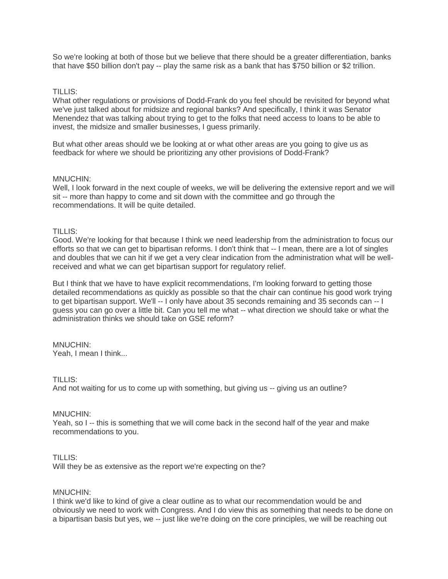So we're looking at both of those but we believe that there should be a greater differentiation, banks that have \$50 billion don't pay -- play the same risk as a bank that has \$750 billion or \$2 trillion.

## TILLIS:

What other regulations or provisions of Dodd-Frank do you feel should be revisited for beyond what we've just talked about for midsize and regional banks? And specifically, I think it was Senator Menendez that was talking about trying to get to the folks that need access to loans to be able to invest, the midsize and smaller businesses, I guess primarily.

But what other areas should we be looking at or what other areas are you going to give us as feedback for where we should be prioritizing any other provisions of Dodd-Frank?

## MNUCHIN:

Well, I look forward in the next couple of weeks, we will be delivering the extensive report and we will sit -- more than happy to come and sit down with the committee and go through the recommendations. It will be quite detailed.

## TILLIS:

Good. We're looking for that because I think we need leadership from the administration to focus our efforts so that we can get to bipartisan reforms. I don't think that -- I mean, there are a lot of singles and doubles that we can hit if we get a very clear indication from the administration what will be wellreceived and what we can get bipartisan support for regulatory relief.

But I think that we have to have explicit recommendations, I'm looking forward to getting those detailed recommendations as quickly as possible so that the chair can continue his good work trying to get bipartisan support. We'll -- I only have about 35 seconds remaining and 35 seconds can -- I guess you can go over a little bit. Can you tell me what -- what direction we should take or what the administration thinks we should take on GSE reform?

# MNUCHIN:

Yeah, I mean I think...

## TILLIS:

And not waiting for us to come up with something, but giving us -- giving us an outline?

## MNUCHIN:

Yeah, so I -- this is something that we will come back in the second half of the year and make recommendations to you.

## TILLIS:

Will they be as extensive as the report we're expecting on the?

## MNUCHIN:

I think we'd like to kind of give a clear outline as to what our recommendation would be and obviously we need to work with Congress. And I do view this as something that needs to be done on a bipartisan basis but yes, we -- just like we're doing on the core principles, we will be reaching out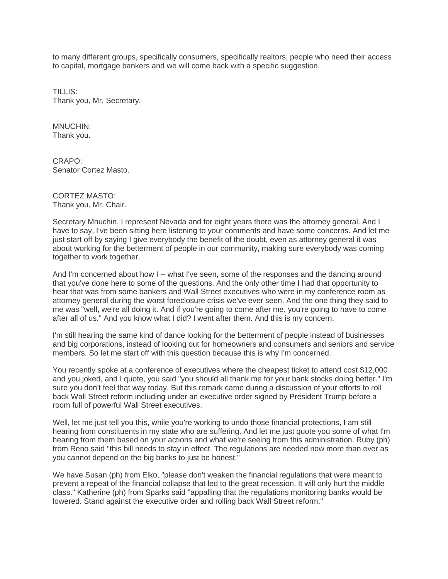to many different groups, specifically consumers, specifically realtors, people who need their access to capital, mortgage bankers and we will come back with a specific suggestion.

TILLIS: Thank you, Mr. Secretary.

MNUCHIN: Thank you.

CRAPO: Senator Cortez Masto.

CORTEZ MASTO: Thank you, Mr. Chair.

Secretary Mnuchin, I represent Nevada and for eight years there was the attorney general. And I have to say, I've been sitting here listening to your comments and have some concerns. And let me just start off by saying I give everybody the benefit of the doubt, even as attorney general it was about working for the betterment of people in our community, making sure everybody was coming together to work together.

And I'm concerned about how I -- what I've seen, some of the responses and the dancing around that you've done here to some of the questions. And the only other time I had that opportunity to hear that was from some bankers and Wall Street executives who were in my conference room as attorney general during the worst foreclosure crisis we've ever seen. And the one thing they said to me was "well, we're all doing it. And if you're going to come after me, you're going to have to come after all of us." And you know what I did? I went after them. And this is my concern.

I'm still hearing the same kind of dance looking for the betterment of people instead of businesses and big corporations, instead of looking out for homeowners and consumers and seniors and service members. So let me start off with this question because this is why I'm concerned.

You recently spoke at a conference of executives where the cheapest ticket to attend cost \$12,000 and you joked, and I quote, you said "you should all thank me for your bank stocks doing better." I'm sure you don't feel that way today. But this remark came during a discussion of your efforts to roll back Wall Street reform including under an executive order signed by President Trump before a room full of powerful Wall Street executives.

Well, let me just tell you this, while you're working to undo those financial protections, I am still hearing from constituents in my state who are suffering. And let me just quote you some of what I'm hearing from them based on your actions and what we're seeing from this administration. Ruby (ph) from Reno said "this bill needs to stay in effect. The regulations are needed now more than ever as you cannot depend on the big banks to just be honest."

We have Susan (ph) from Elko, "please don't weaken the financial regulations that were meant to prevent a repeat of the financial collapse that led to the great recession. It will only hurt the middle class." Katherine (ph) from Sparks said "appalling that the regulations monitoring banks would be lowered. Stand against the executive order and rolling back Wall Street reform."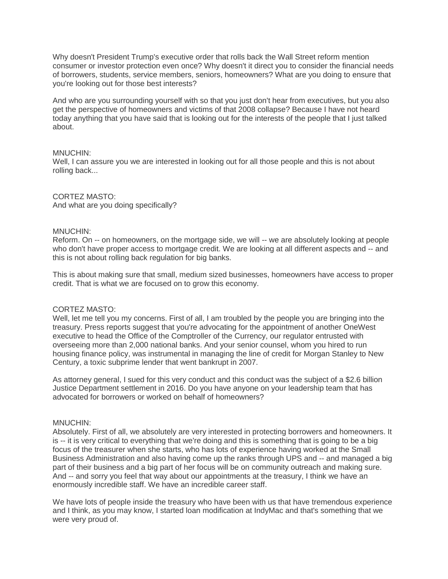Why doesn't President Trump's executive order that rolls back the Wall Street reform mention consumer or investor protection even once? Why doesn't it direct you to consider the financial needs of borrowers, students, service members, seniors, homeowners? What are you doing to ensure that you're looking out for those best interests?

And who are you surrounding yourself with so that you just don't hear from executives, but you also get the perspective of homeowners and victims of that 2008 collapse? Because I have not heard today anything that you have said that is looking out for the interests of the people that I just talked about.

## MNUCHIN:

Well, I can assure you we are interested in looking out for all those people and this is not about rolling back...

## CORTEZ MASTO:

And what are you doing specifically?

## MNUCHIN:

Reform. On -- on homeowners, on the mortgage side, we will -- we are absolutely looking at people who don't have proper access to mortgage credit. We are looking at all different aspects and -- and this is not about rolling back regulation for big banks.

This is about making sure that small, medium sized businesses, homeowners have access to proper credit. That is what we are focused on to grow this economy.

## CORTEZ MASTO:

Well, let me tell you my concerns. First of all, I am troubled by the people you are bringing into the treasury. Press reports suggest that you're advocating for the appointment of another OneWest executive to head the Office of the Comptroller of the Currency, our regulator entrusted with overseeing more than 2,000 national banks. And your senior counsel, whom you hired to run housing finance policy, was instrumental in managing the line of credit for Morgan Stanley to New Century, a toxic subprime lender that went bankrupt in 2007.

As attorney general, I sued for this very conduct and this conduct was the subject of a \$2.6 billion Justice Department settlement in 2016. Do you have anyone on your leadership team that has advocated for borrowers or worked on behalf of homeowners?

## MNUCHIN:

Absolutely. First of all, we absolutely are very interested in protecting borrowers and homeowners. It is -- it is very critical to everything that we're doing and this is something that is going to be a big focus of the treasurer when she starts, who has lots of experience having worked at the Small Business Administration and also having come up the ranks through UPS and -- and managed a big part of their business and a big part of her focus will be on community outreach and making sure. And -- and sorry you feel that way about our appointments at the treasury, I think we have an enormously incredible staff. We have an incredible career staff.

We have lots of people inside the treasury who have been with us that have tremendous experience and I think, as you may know, I started loan modification at IndyMac and that's something that we were very proud of.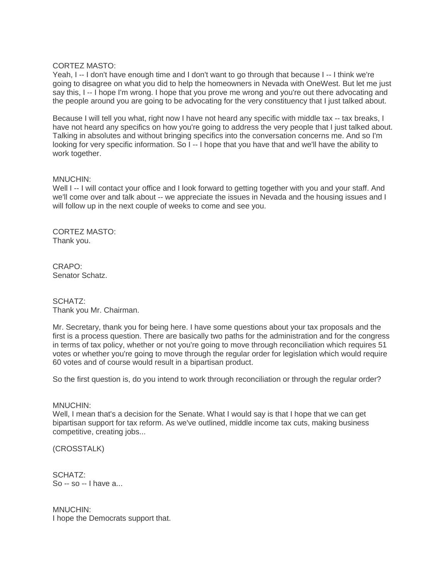## CORTEZ MASTO:

Yeah, I -- I don't have enough time and I don't want to go through that because I -- I think we're going to disagree on what you did to help the homeowners in Nevada with OneWest. But let me just say this, I -- I hope I'm wrong. I hope that you prove me wrong and you're out there advocating and the people around you are going to be advocating for the very constituency that I just talked about.

Because I will tell you what, right now I have not heard any specific with middle tax -- tax breaks, I have not heard any specifics on how you're going to address the very people that I just talked about. Talking in absolutes and without bringing specifics into the conversation concerns me. And so I'm looking for very specific information. So I -- I hope that you have that and we'll have the ability to work together.

## MNUCHIN:

Well I -- I will contact your office and I look forward to getting together with you and your staff. And we'll come over and talk about -- we appreciate the issues in Nevada and the housing issues and I will follow up in the next couple of weeks to come and see you.

CORTEZ MASTO: Thank you.

CRAPO: Senator Schatz.

SCHATZ: Thank you Mr. Chairman.

Mr. Secretary, thank you for being here. I have some questions about your tax proposals and the first is a process question. There are basically two paths for the administration and for the congress in terms of tax policy, whether or not you're going to move through reconciliation which requires 51 votes or whether you're going to move through the regular order for legislation which would require 60 votes and of course would result in a bipartisan product.

So the first question is, do you intend to work through reconciliation or through the regular order?

## MNUCHIN:

Well, I mean that's a decision for the Senate. What I would say is that I hope that we can get bipartisan support for tax reform. As we've outlined, middle income tax cuts, making business competitive, creating jobs...

(CROSSTALK)

SCHATZ: So -- so -- I have a...

MNUCHIN: I hope the Democrats support that.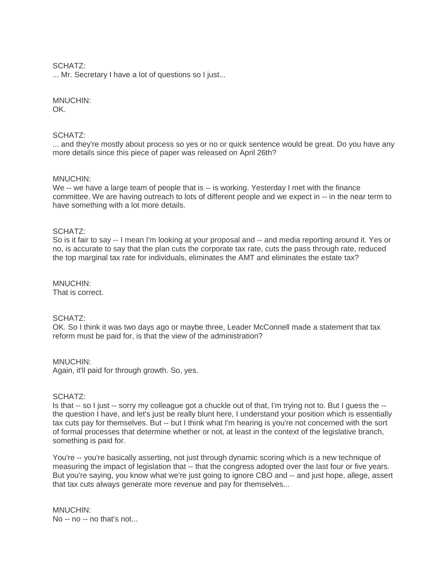## SCHATZ:

... Mr. Secretary I have a lot of questions so I just...

## MNUCHIN:

OK.

## SCHATZ:

... and they're mostly about process so yes or no or quick sentence would be great. Do you have any more details since this piece of paper was released on April 26th?

## MNUCHIN:

We -- we have a large team of people that is -- is working. Yesterday I met with the finance committee. We are having outreach to lots of different people and we expect in -- in the near term to have something with a lot more details.

## SCHATZ:

So is it fair to say -- I mean I'm looking at your proposal and -- and media reporting around it. Yes or no, is accurate to say that the plan cuts the corporate tax rate, cuts the pass through rate, reduced the top marginal tax rate for individuals, eliminates the AMT and eliminates the estate tax?

#### MNUCHIN: That is correct.

# SCHATZ:

OK. So I think it was two days ago or maybe three, Leader McConnell made a statement that tax reform must be paid for, is that the view of the administration?

## MNUCHIN:

Again, it'll paid for through growth. So, yes.

## SCHATZ:

Is that -- so I just -- sorry my colleague got a chuckle out of that, I'm trying not to. But I guess the - the question I have, and let's just be really blunt here, I understand your position which is essentially tax cuts pay for themselves. But -- but I think what I'm hearing is you're not concerned with the sort of formal processes that determine whether or not, at least in the context of the legislative branch, something is paid for.

You're -- you're basically asserting, not just through dynamic scoring which is a new technique of measuring the impact of legislation that -- that the congress adopted over the last four or five years. But you're saying, you know what we're just going to ignore CBO and -- and just hope, allege, assert that tax cuts always generate more revenue and pay for themselves...

MNUCHIN: No -- no -- no that's not...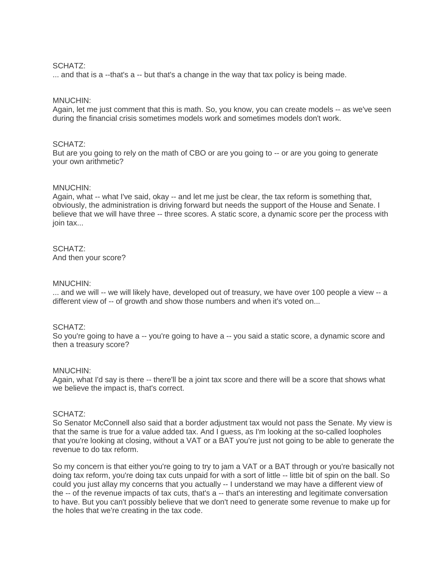## SCHATZ:

... and that is a --that's a -- but that's a change in the way that tax policy is being made.

## MNUCHIN:

Again, let me just comment that this is math. So, you know, you can create models -- as we've seen during the financial crisis sometimes models work and sometimes models don't work.

## SCHATZ:

But are you going to rely on the math of CBO or are you going to -- or are you going to generate your own arithmetic?

## MNUCHIN:

Again, what -- what I've said, okay -- and let me just be clear, the tax reform is something that, obviously, the administration is driving forward but needs the support of the House and Senate. I believe that we will have three -- three scores. A static score, a dynamic score per the process with ioin tax...

## SCHATZ: And then your score?

## MNUCHIN:

... and we will -- we will likely have, developed out of treasury, we have over 100 people a view -- a different view of -- of growth and show those numbers and when it's voted on...

## SCHATZ:

So you're going to have a -- you're going to have a -- you said a static score, a dynamic score and then a treasury score?

## MNUCHIN:

Again, what I'd say is there -- there'll be a joint tax score and there will be a score that shows what we believe the impact is, that's correct.

## SCHATZ:

So Senator McConnell also said that a border adjustment tax would not pass the Senate. My view is that the same is true for a value added tax. And I guess, as I'm looking at the so-called loopholes that you're looking at closing, without a VAT or a BAT you're just not going to be able to generate the revenue to do tax reform.

So my concern is that either you're going to try to jam a VAT or a BAT through or you're basically not doing tax reform, you're doing tax cuts unpaid for with a sort of little -- little bit of spin on the ball. So could you just allay my concerns that you actually -- I understand we may have a different view of the -- of the revenue impacts of tax cuts, that's a -- that's an interesting and legitimate conversation to have. But you can't possibly believe that we don't need to generate some revenue to make up for the holes that we're creating in the tax code.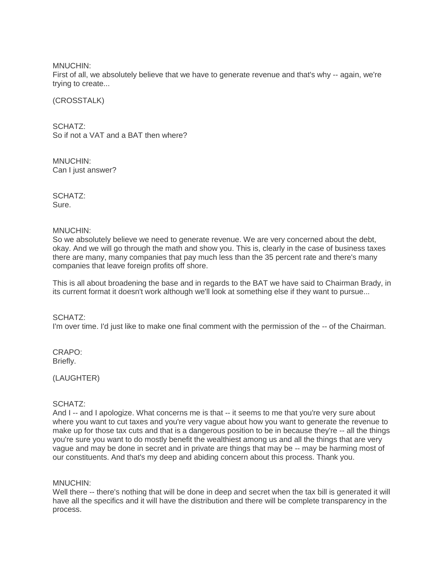MNUCHIN:

First of all, we absolutely believe that we have to generate revenue and that's why -- again, we're trying to create...

(CROSSTALK)

SCHATZ: So if not a VAT and a BAT then where?

MNUCHIN: Can I just answer?

SCHATZ: Sure.

## MNUCHIN:

So we absolutely believe we need to generate revenue. We are very concerned about the debt, okay. And we will go through the math and show you. This is, clearly in the case of business taxes there are many, many companies that pay much less than the 35 percent rate and there's many companies that leave foreign profits off shore.

This is all about broadening the base and in regards to the BAT we have said to Chairman Brady, in its current format it doesn't work although we'll look at something else if they want to pursue...

SCHATZ: I'm over time. I'd just like to make one final comment with the permission of the -- of the Chairman.

CRAPO: Briefly.

(LAUGHTER)

## SCHATZ:

And I -- and I apologize. What concerns me is that -- it seems to me that you're very sure about where you want to cut taxes and you're very vague about how you want to generate the revenue to make up for those tax cuts and that is a dangerous position to be in because they're -- all the things you're sure you want to do mostly benefit the wealthiest among us and all the things that are very vague and may be done in secret and in private are things that may be -- may be harming most of our constituents. And that's my deep and abiding concern about this process. Thank you.

MNUCHIN:

Well there -- there's nothing that will be done in deep and secret when the tax bill is generated it will have all the specifics and it will have the distribution and there will be complete transparency in the process.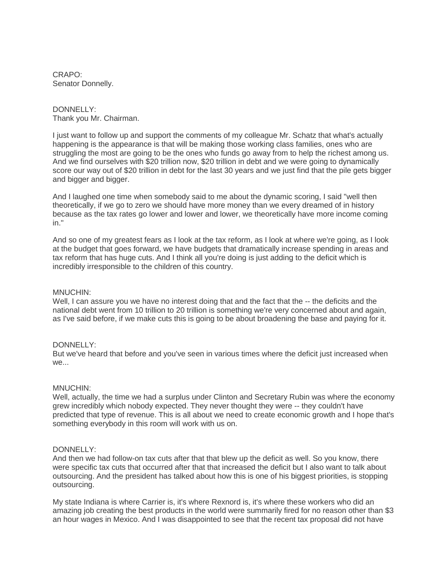CRAPO: Senator Donnelly.

## DONNELLY: Thank you Mr. Chairman.

I just want to follow up and support the comments of my colleague Mr. Schatz that what's actually happening is the appearance is that will be making those working class families, ones who are struggling the most are going to be the ones who funds go away from to help the richest among us. And we find ourselves with \$20 trillion now, \$20 trillion in debt and we were going to dynamically score our way out of \$20 trillion in debt for the last 30 years and we just find that the pile gets bigger and bigger and bigger.

And I laughed one time when somebody said to me about the dynamic scoring, I said "well then theoretically, if we go to zero we should have more money than we every dreamed of in history because as the tax rates go lower and lower and lower, we theoretically have more income coming in."

And so one of my greatest fears as I look at the tax reform, as I look at where we're going, as I look at the budget that goes forward, we have budgets that dramatically increase spending in areas and tax reform that has huge cuts. And I think all you're doing is just adding to the deficit which is incredibly irresponsible to the children of this country.

## MNUCHIN:

Well, I can assure you we have no interest doing that and the fact that the -- the deficits and the national debt went from 10 trillion to 20 trillion is something we're very concerned about and again, as I've said before, if we make cuts this is going to be about broadening the base and paying for it.

## DONNELLY:

But we've heard that before and you've seen in various times where the deficit just increased when we...

## MNUCHIN:

Well, actually, the time we had a surplus under Clinton and Secretary Rubin was where the economy grew incredibly which nobody expected. They never thought they were -- they couldn't have predicted that type of revenue. This is all about we need to create economic growth and I hope that's something everybody in this room will work with us on.

## DONNELLY:

And then we had follow-on tax cuts after that that blew up the deficit as well. So you know, there were specific tax cuts that occurred after that that increased the deficit but I also want to talk about outsourcing. And the president has talked about how this is one of his biggest priorities, is stopping outsourcing.

My state Indiana is where Carrier is, it's where Rexnord is, it's where these workers who did an amazing job creating the best products in the world were summarily fired for no reason other than \$3 an hour wages in Mexico. And I was disappointed to see that the recent tax proposal did not have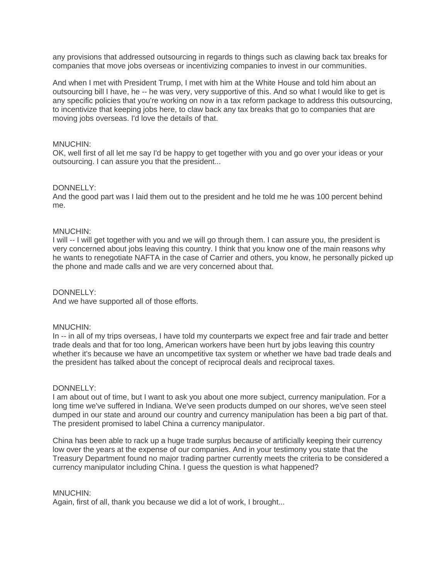any provisions that addressed outsourcing in regards to things such as clawing back tax breaks for companies that move jobs overseas or incentivizing companies to invest in our communities.

And when I met with President Trump, I met with him at the White House and told him about an outsourcing bill I have, he -- he was very, very supportive of this. And so what I would like to get is any specific policies that you're working on now in a tax reform package to address this outsourcing, to incentivize that keeping jobs here, to claw back any tax breaks that go to companies that are moving jobs overseas. I'd love the details of that.

## MNUCHIN:

OK, well first of all let me say I'd be happy to get together with you and go over your ideas or your outsourcing. I can assure you that the president...

## DONNELLY:

And the good part was I laid them out to the president and he told me he was 100 percent behind me.

## MNUCHIN:

I will -- I will get together with you and we will go through them. I can assure you, the president is very concerned about jobs leaving this country. I think that you know one of the main reasons why he wants to renegotiate NAFTA in the case of Carrier and others, you know, he personally picked up the phone and made calls and we are very concerned about that.

## DONNELLY:

And we have supported all of those efforts.

## MNUCHIN:

In -- in all of my trips overseas, I have told my counterparts we expect free and fair trade and better trade deals and that for too long, American workers have been hurt by jobs leaving this country whether it's because we have an uncompetitive tax system or whether we have bad trade deals and the president has talked about the concept of reciprocal deals and reciprocal taxes.

## DONNELLY:

I am about out of time, but I want to ask you about one more subject, currency manipulation. For a long time we've suffered in Indiana. We've seen products dumped on our shores, we've seen steel dumped in our state and around our country and currency manipulation has been a big part of that. The president promised to label China a currency manipulator.

China has been able to rack up a huge trade surplus because of artificially keeping their currency low over the years at the expense of our companies. And in your testimony you state that the Treasury Department found no major trading partner currently meets the criteria to be considered a currency manipulator including China. I guess the question is what happened?

## MNUCHIN:

Again, first of all, thank you because we did a lot of work, I brought...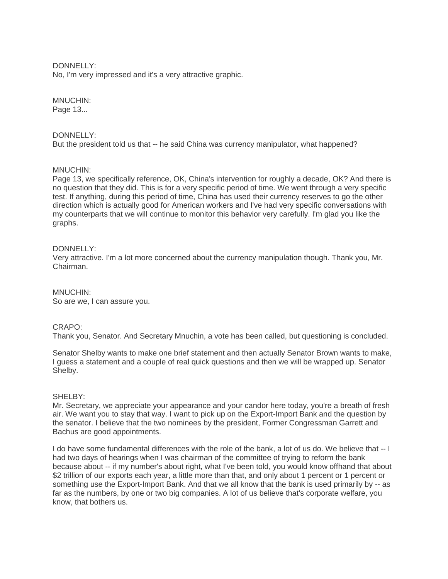DONNELLY:

No, I'm very impressed and it's a very attractive graphic.

## MNUCHIN:

Page 13...

## DONNELLY:

But the president told us that -- he said China was currency manipulator, what happened?

## MNUCHIN:

Page 13, we specifically reference, OK, China's intervention for roughly a decade, OK? And there is no question that they did. This is for a very specific period of time. We went through a very specific test. If anything, during this period of time, China has used their currency reserves to go the other direction which is actually good for American workers and I've had very specific conversations with my counterparts that we will continue to monitor this behavior very carefully. I'm glad you like the graphs.

## DONNELLY:

Very attractive. I'm a lot more concerned about the currency manipulation though. Thank you, Mr. Chairman.

MNUCHIN: So are we, I can assure you.

## CRAPO:

Thank you, Senator. And Secretary Mnuchin, a vote has been called, but questioning is concluded.

Senator Shelby wants to make one brief statement and then actually Senator Brown wants to make, I guess a statement and a couple of real quick questions and then we will be wrapped up. Senator Shelby.

## SHELBY:

Mr. Secretary, we appreciate your appearance and your candor here today, you're a breath of fresh air. We want you to stay that way. I want to pick up on the Export-Import Bank and the question by the senator. I believe that the two nominees by the president, Former Congressman Garrett and Bachus are good appointments.

I do have some fundamental differences with the role of the bank, a lot of us do. We believe that -- I had two days of hearings when I was chairman of the committee of trying to reform the bank because about -- if my number's about right, what I've been told, you would know offhand that about \$2 trillion of our exports each year, a little more than that, and only about 1 percent or 1 percent or something use the Export-Import Bank. And that we all know that the bank is used primarily by -- as far as the numbers, by one or two big companies. A lot of us believe that's corporate welfare, you know, that bothers us.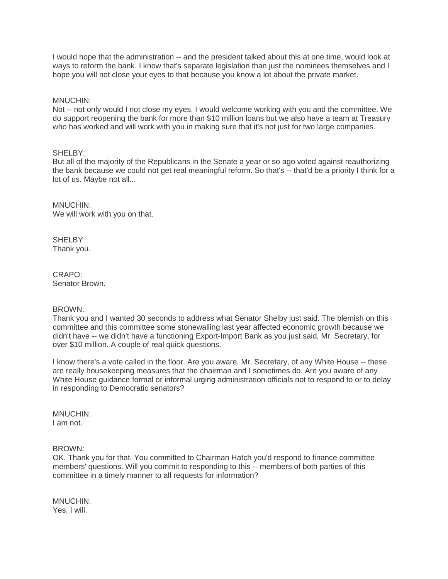I would hope that the administration -- and the president talked about this at one time, would look at ways to reform the bank. I know that's separate legislation than just the nominees themselves and I hope you will not close your eyes to that because you know a lot about the private market.

## MNUCHIN:

Not -- not only would I not close my eyes, I would welcome working with you and the committee. We do support reopening the bank for more than \$10 million loans but we also have a team at Treasury who has worked and will work with you in making sure that it's not just for two large companies.

## SHELBY:

But all of the majority of the Republicans in the Senate a year or so ago voted against reauthorizing the bank because we could not get real meaningful reform. So that's -- that'd be a priority I think for a lot of us. Maybe not all...

MNUCHIN: We will work with you on that.

SHELBY: Thank you.

CRAPO: Senator Brown.

## BROWN:

Thank you and I wanted 30 seconds to address what Senator Shelby just said. The blemish on this committee and this committee some stonewalling last year affected economic growth because we didn't have -- we didn't have a functioning Export-Import Bank as you just said, Mr. Secretary, for over \$10 million. A couple of real quick questions.

I know there's a vote called in the floor. Are you aware, Mr. Secretary, of any White House -- these are really housekeeping measures that the chairman and I sometimes do. Are you aware of any White House guidance formal or informal urging administration officials not to respond to or to delay in responding to Democratic senators?

MNUCHIN: I am not.

## BROWN:

OK. Thank you for that. You committed to Chairman Hatch you'd respond to finance committee members' questions. Will you commit to responding to this -- members of both parties of this committee in a timely manner to all requests for information?

MNUCHIN: Yes, I will.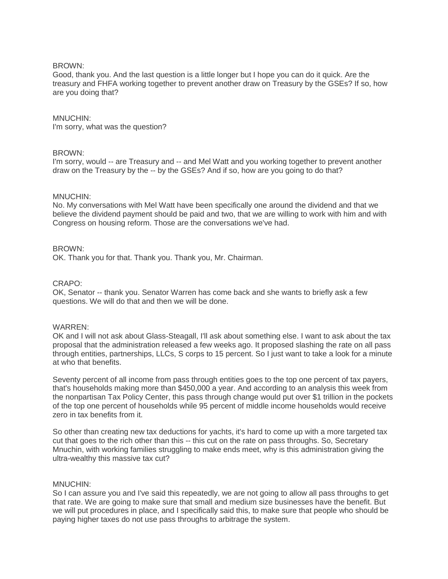## BROWN:

Good, thank you. And the last question is a little longer but I hope you can do it quick. Are the treasury and FHFA working together to prevent another draw on Treasury by the GSEs? If so, how are you doing that?

## MNUCHIN:

I'm sorry, what was the question?

## BROWN:

I'm sorry, would -- are Treasury and -- and Mel Watt and you working together to prevent another draw on the Treasury by the -- by the GSEs? And if so, how are you going to do that?

## MNUCHIN:

No. My conversations with Mel Watt have been specifically one around the dividend and that we believe the dividend payment should be paid and two, that we are willing to work with him and with Congress on housing reform. Those are the conversations we've had.

## BROWN:

OK. Thank you for that. Thank you. Thank you, Mr. Chairman.

## CRAPO:

OK, Senator -- thank you. Senator Warren has come back and she wants to briefly ask a few questions. We will do that and then we will be done.

## WARREN:

OK and I will not ask about Glass-Steagall, I'll ask about something else. I want to ask about the tax proposal that the administration released a few weeks ago. It proposed slashing the rate on all pass through entities, partnerships, LLCs, S corps to 15 percent. So I just want to take a look for a minute at who that benefits.

Seventy percent of all income from pass through entities goes to the top one percent of tax payers, that's households making more than \$450,000 a year. And according to an analysis this week from the nonpartisan Tax Policy Center, this pass through change would put over \$1 trillion in the pockets of the top one percent of households while 95 percent of middle income households would receive zero in tax benefits from it.

So other than creating new tax deductions for yachts, it's hard to come up with a more targeted tax cut that goes to the rich other than this -- this cut on the rate on pass throughs. So, Secretary Mnuchin, with working families struggling to make ends meet, why is this administration giving the ultra-wealthy this massive tax cut?

## MNUCHIN:

So I can assure you and I've said this repeatedly, we are not going to allow all pass throughs to get that rate. We are going to make sure that small and medium size businesses have the benefit. But we will put procedures in place, and I specifically said this, to make sure that people who should be paying higher taxes do not use pass throughs to arbitrage the system.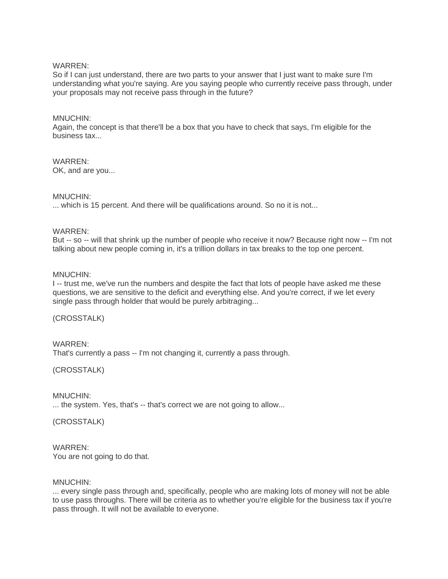## WARREN:

So if I can just understand, there are two parts to your answer that I just want to make sure I'm understanding what you're saying. Are you saying people who currently receive pass through, under your proposals may not receive pass through in the future?

## MNUCHIN:

Again, the concept is that there'll be a box that you have to check that says, I'm eligible for the business tax...

WARREN: OK, and are you...

## MNUCHIN:

... which is 15 percent. And there will be qualifications around. So no it is not...

## WARREN:

But -- so -- will that shrink up the number of people who receive it now? Because right now -- I'm not talking about new people coming in, it's a trillion dollars in tax breaks to the top one percent.

## MNUCHIN:

I -- trust me, we've run the numbers and despite the fact that lots of people have asked me these questions, we are sensitive to the deficit and everything else. And you're correct, if we let every single pass through holder that would be purely arbitraging...

## (CROSSTALK)

## WARREN: That's currently a pass -- I'm not changing it, currently a pass through.

## (CROSSTALK)

## MNUCHIN:

... the system. Yes, that's -- that's correct we are not going to allow...

## (CROSSTALK)

## WARREN:

You are not going to do that.

## MNUCHIN:

... every single pass through and, specifically, people who are making lots of money will not be able to use pass throughs. There will be criteria as to whether you're eligible for the business tax if you're pass through. It will not be available to everyone.